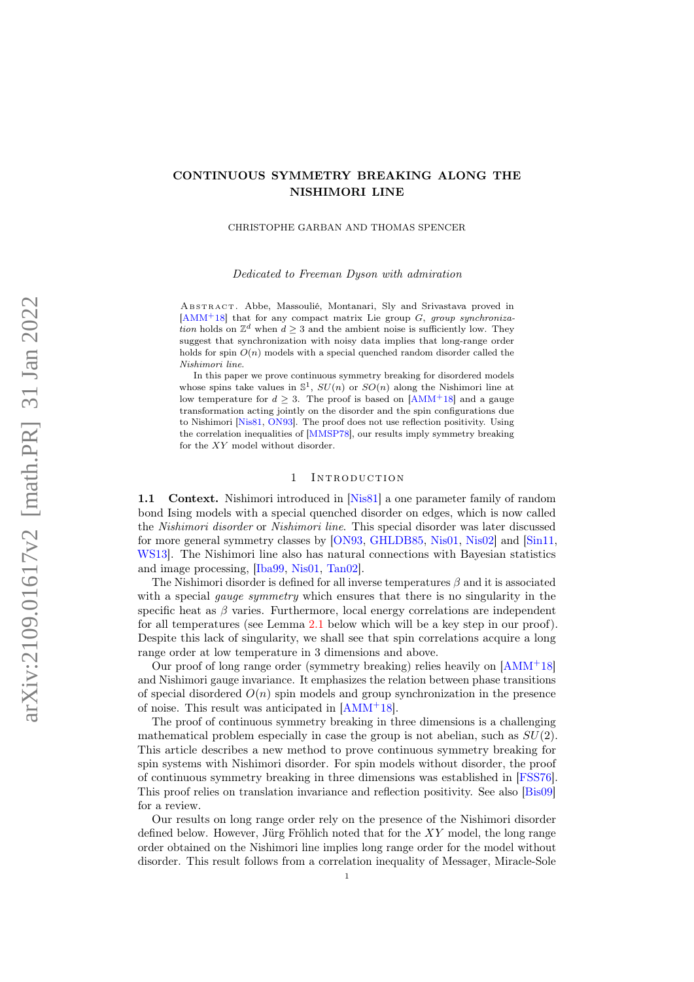# CONTINUOUS SYMMETRY BREAKING ALONG THE NISHIMORI LINE

CHRISTOPHE GARBAN AND THOMAS SPENCER

Dedicated to Freeman Dyson with admiration

ABSTRACT. Abbe, Massoulié, Montanari, Sly and Srivastava proved in  $[AMM+18]$  $[AMM+18]$  that for any compact matrix Lie group G, group synchronization holds on  $\mathbb{Z}^d$  when  $d \geq 3$  and the ambient noise is sufficiently low. They suggest that synchronization with noisy data implies that long-range order holds for spin  $O(n)$  models with a special quenched random disorder called the Nishimori line.

In this paper we prove continuous symmetry breaking for disordered models whose spins take values in  $\mathbb{S}^1$ ,  $SU(n)$  or  $SO(n)$  along the Nishimori line at low temperature for  $d \geq 3$ . The proof is based on [\[AMM](#page-19-0)+18] and a gauge transformation acting jointly on the disorder and the spin configurations due to Nishimori [\[Nis81,](#page-20-0) [ON93\]](#page-20-1). The proof does not use reflection positivity. Using the correlation inequalities of [\[MMSP78\]](#page-20-2), our results imply symmetry breaking for the XY model without disorder.

## 1 INTRODUCTION

1.1 Context. Nishimori introduced in [\[Nis81\]](#page-20-0) a one parameter family of random bond Ising models with a special quenched disorder on edges, which is now called the Nishimori disorder or Nishimori line. This special disorder was later discussed for more general symmetry classes by [\[ON93,](#page-20-1) [GHLDB85,](#page-19-1) [Nis01,](#page-20-3) [Nis02\]](#page-20-4) and [\[Sin11,](#page-20-5) [WS13\]](#page-20-6). The Nishimori line also has natural connections with Bayesian statistics and image processing, [\[Iba99,](#page-19-2) [Nis01,](#page-20-3) [Tan02\]](#page-20-7).

The Nishimori disorder is defined for all inverse temperatures  $\beta$  and it is associated with a special *gauge symmetry* which ensures that there is no singularity in the specific heat as  $\beta$  varies. Furthermore, local energy correlations are independent for all temperatures (see Lemma [2.1](#page-7-0) below which will be a key step in our proof). Despite this lack of singularity, we shall see that spin correlations acquire a long range order at low temperature in 3 dimensions and above.

Our proof of long range order (symmetry breaking) relies heavily on [\[AMM](#page-19-0)<sup>+</sup>18] and Nishimori gauge invariance. It emphasizes the relation between phase transitions of special disordered  $O(n)$  spin models and group synchronization in the presence of noise. This result was anticipated in [\[AMM](#page-19-0)<sup>+</sup>18].

The proof of continuous symmetry breaking in three dimensions is a challenging mathematical problem especially in case the group is not abelian, such as  $SU(2)$ . This article describes a new method to prove continuous symmetry breaking for spin systems with Nishimori disorder. For spin models without disorder, the proof of continuous symmetry breaking in three dimensions was established in [\[FSS76\]](#page-19-3). This proof relies on translation invariance and reflection positivity. See also [\[Bis09\]](#page-19-4) for a review.

Our results on long range order rely on the presence of the Nishimori disorder defined below. However, Jürg Fröhlich noted that for the XY model, the long range order obtained on the Nishimori line implies long range order for the model without disorder. This result follows from a correlation inequality of Messager, Miracle-Sole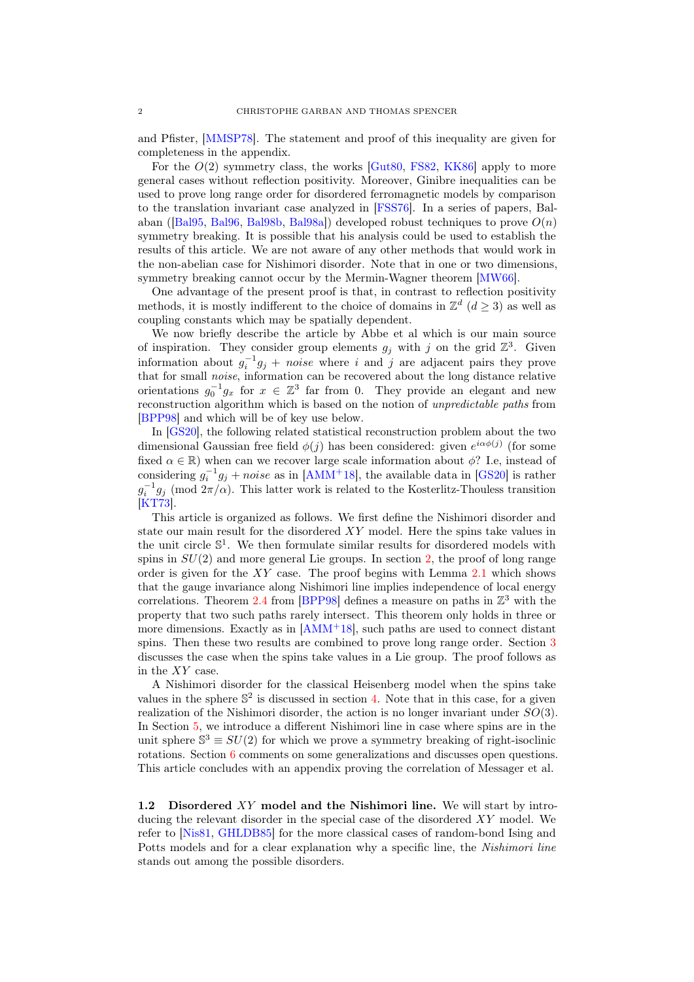and Pfister, [\[MMSP78\]](#page-20-2). The statement and proof of this inequality are given for completeness in the appendix.

For the  $O(2)$  symmetry class, the works [\[Gut80,](#page-19-5) [FS82,](#page-19-6) [KK86\]](#page-20-8) apply to more general cases without reflection positivity. Moreover, Ginibre inequalities can be used to prove long range order for disordered ferromagnetic models by comparison to the translation invariant case analyzed in [\[FSS76\]](#page-19-3). In a series of papers, Balaban ( $[Ba]95, Ba]96, Ba]98b, Ba]98a]$ ) developed robust techniques to prove  $O(n)$ symmetry breaking. It is possible that his analysis could be used to establish the results of this article. We are not aware of any other methods that would work in the non-abelian case for Nishimori disorder. Note that in one or two dimensions, symmetry breaking cannot occur by the Mermin-Wagner theorem [\[MW66\]](#page-20-9).

One advantage of the present proof is that, in contrast to reflection positivity methods, it is mostly indifferent to the choice of domains in  $\mathbb{Z}^d$   $(d \geq 3)$  as well as coupling constants which may be spatially dependent.

We now briefly describe the article by Abbe et al which is our main source of inspiration. They consider group elements  $g_j$  with j on the grid  $\mathbb{Z}^3$ . Given information about  $g_i^{-1}g_j + noise$  where i and j are adjacent pairs they prove that for small *noise*, information can be recovered about the long distance relative orientations  $g_0^{-1}g_x$  for  $x \in \mathbb{Z}^3$  far from 0. They provide an elegant and new reconstruction algorithm which is based on the notion of unpredictable paths from [\[BPP98\]](#page-19-11) and which will be of key use below.

In [\[GS20\]](#page-19-12), the following related statistical reconstruction problem about the two dimensional Gaussian free field  $\phi(j)$  has been considered: given  $e^{i\alpha\phi(j)}$  (for some fixed  $\alpha \in \mathbb{R}$ ) when can we recover large scale information about  $\phi$ ? I.e, instead of considering  $g_i^{-1}g_j + noise$  as in [\[AMM](#page-19-0)<sup>+</sup>18], the available data in [\[GS20\]](#page-19-12) is rather  $g_i^{-1}g_j \pmod{2\pi/\alpha}$ . This latter work is related to the Kosterlitz-Thouless transition [\[KT73\]](#page-20-10).

This article is organized as follows. We first define the Nishimori disorder and state our main result for the disordered  $XY$  model. Here the spins take values in the unit circle  $\mathbb{S}^1$ . We then formulate similar results for disordered models with spins in  $SU(2)$  and more general Lie groups. In section [2,](#page-6-0) the proof of long range order is given for the  $XY$  case. The proof begins with Lemma [2.1](#page-7-0) which shows that the gauge invariance along Nishimori line implies independence of local energy correlations. Theorem [2.4](#page-9-0) from [\[BPP98\]](#page-19-11) defines a measure on paths in  $\mathbb{Z}^3$  with the property that two such paths rarely intersect. This theorem only holds in three or more dimensions. Exactly as in  $[AMM+18]$  $[AMM+18]$ , such paths are used to connect distant spins. Then these two results are combined to prove long range order. Section [3](#page-11-0) discusses the case when the spins take values in a Lie group. The proof follows as in the XY case.

A Nishimori disorder for the classical Heisenberg model when the spins take values in the sphere  $\mathbb{S}^2$  is discussed in section [4.](#page-14-0) Note that in this case, for a given realization of the Nishimori disorder, the action is no longer invariant under  $SO(3)$ . In Section [5,](#page-16-0) we introduce a different Nishimori line in case where spins are in the unit sphere  $\mathbb{S}^3 \equiv SU(2)$  for which we prove a symmetry breaking of right-isoclinic rotations. Section [6](#page-17-0) comments on some generalizations and discusses open questions. This article concludes with an appendix proving the correlation of Messager et al.

1.2 Disordered XY model and the Nishimori line. We will start by introducing the relevant disorder in the special case of the disordered XY model. We refer to [\[Nis81,](#page-20-0) [GHLDB85\]](#page-19-1) for the more classical cases of random-bond Ising and Potts models and for a clear explanation why a specific line, the Nishimori line stands out among the possible disorders.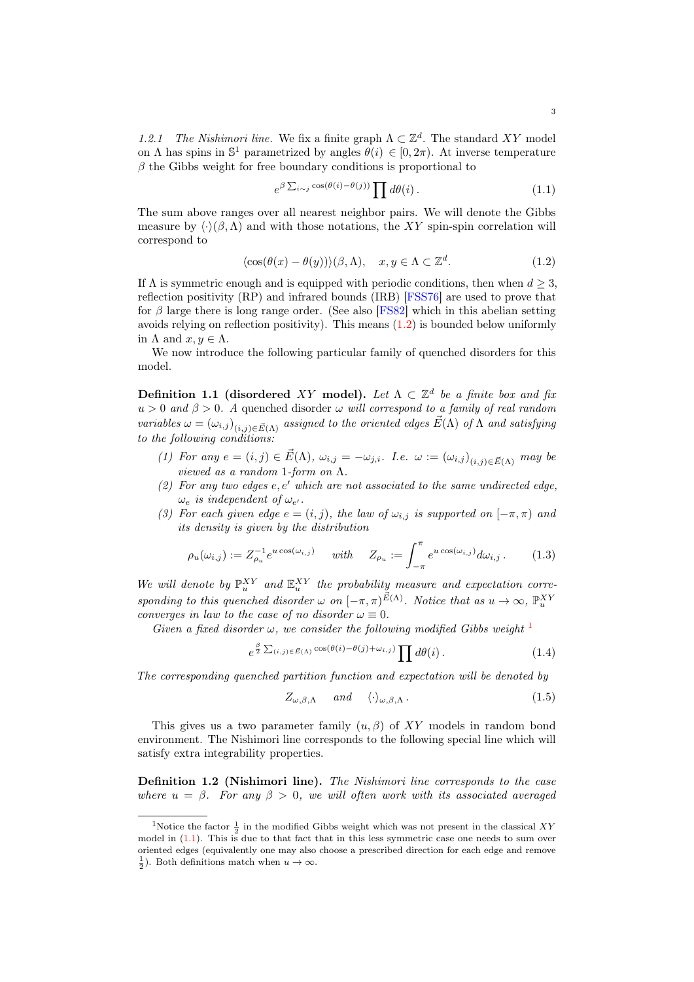1.2.1 The Nishimori line. We fix a finite graph  $\Lambda \subset \mathbb{Z}^d$ . The standard XY model on  $\Lambda$  has spins in  $\mathbb{S}^1$  parametrized by angles  $\theta(i) \in [0, 2\pi)$ . At inverse temperature  $\beta$  the Gibbs weight for free boundary conditions is proportional to

<span id="page-2-2"></span><span id="page-2-0"></span>
$$
e^{\beta \sum_{i \sim j} \cos(\theta(i) - \theta(j))} \prod d\theta(i).
$$
 (1.1)

The sum above ranges over all nearest neighbor pairs. We will denote the Gibbs measure by  $\langle \cdot \rangle(\beta, \Lambda)$  and with those notations, the XY spin-spin correlation will correspond to

$$
\langle \cos(\theta(x) - \theta(y)) \rangle (\beta, \Lambda), \quad x, y \in \Lambda \subset \mathbb{Z}^d. \tag{1.2}
$$

If  $\Lambda$  is symmetric enough and is equipped with periodic conditions, then when  $d \geq 3$ , reflection positivity (RP) and infrared bounds (IRB) [\[FSS76\]](#page-19-3) are used to prove that for  $\beta$  large there is long range order. (See also [\[FS82\]](#page-19-6) which in this abelian setting avoids relying on reflection positivity). This means [\(1.2\)](#page-2-0) is bounded below uniformly in  $\Lambda$  and  $x, y \in \Lambda$ .

We now introduce the following particular family of quenched disorders for this model.

Definition 1.1 (disordered XY model). Let  $\Lambda \subset \mathbb{Z}^d$  be a finite box and fix  $u > 0$  and  $\beta > 0$ . A quenched disorder  $\omega$  will correspond to a family of real random variables  $\omega = (\omega_{i,j})_{(i,j)\in \vec{E}(\Lambda)}$  assigned to the oriented edges  $\vec{E}(\Lambda)$  of  $\Lambda$  and satisfying to the following conditions:

- (1) For any  $e = (i, j) \in \vec{E}(\Lambda)$ ,  $\omega_{i,j} = -\omega_{j,i}$ . I.e.  $\omega := (\omega_{i,j})_{(i,j) \in \vec{E}(\Lambda)}$  may be viewed as a random 1-form on  $\Lambda$ .
- (2) For any two edges  $e, e'$  which are not associated to the same undirected edge,  $\omega_e$  is independent of  $\omega_{e'}$ .
- (3) For each given edge  $e = (i, j)$ , the law of  $\omega_{i,j}$  is supported on  $[-\pi, \pi)$  and its density is given by the distribution

$$
\rho_u(\omega_{i,j}) := Z_{\rho_u}^{-1} e^{u \cos(\omega_{i,j})} \quad \text{with} \quad Z_{\rho_u} := \int_{-\pi}^{\pi} e^{u \cos(\omega_{i,j})} d\omega_{i,j} . \tag{1.3}
$$

We will denote by  $\mathbb{P}_{u}^{XY}$  and  $\mathbb{E}_{u}^{XY}$  the probability measure and expectation corresponding to this quenched disorder  $\omega$  on  $[-\pi, \pi)^{\vec{E}(\Lambda)}$ . Notice that as  $u \to \infty$ ,  $\mathbb{P}_u^{XY}$ converges in law to the case of no disorder  $\omega \equiv 0$ .

Given a fixed disorder  $\omega$ , we consider the following modified Gibbs weight  $^1$  $^1$ 

$$
e^{\frac{\beta}{2}\sum_{(i,j)\in\vec{E}(\Lambda)}\cos(\theta(i)-\theta(j)+\omega_{i,j})}\prod d\theta(i).
$$
 (1.4)

The corresponding quenched partition function and expectation will be denoted by

$$
Z_{\omega,\beta,\Lambda} \quad \text{and} \quad \langle \cdot \rangle_{\omega,\beta,\Lambda} \,. \tag{1.5}
$$

This gives us a two parameter family  $(u, \beta)$  of XY models in random bond environment. The Nishimori line corresponds to the following special line which will satisfy extra integrability properties.

Definition 1.2 (Nishimori line). The Nishimori line corresponds to the case where  $u = \beta$ . For any  $\beta > 0$ , we will often work with its associated averaged

<span id="page-2-1"></span><sup>&</sup>lt;sup>1</sup>Notice the factor  $\frac{1}{2}$  in the modified Gibbs weight which was not present in the classical XY model in  $(1.1)$ . This is due to that fact that in this less symmetric case one needs to sum over oriented edges (equivalently one may also choose a prescribed direction for each edge and remove  $\frac{1}{2}$ ). Both definitions match when  $u \to \infty$ .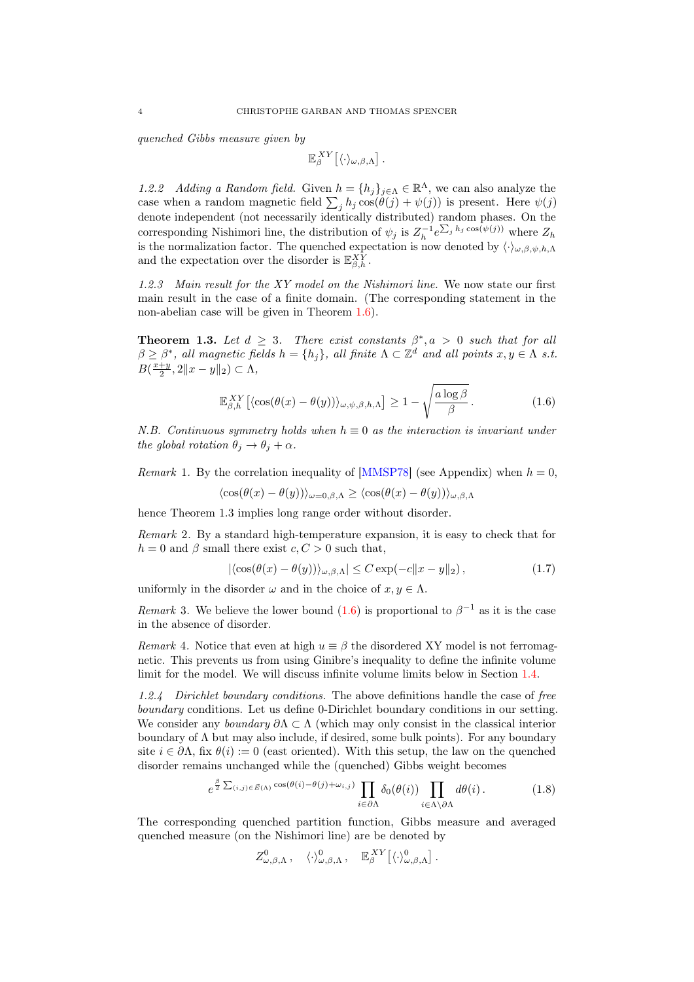quenched Gibbs measure given by

$$
\mathbb{E}_\beta^{XY} \big[ \langle \cdot \rangle_{\omega,\beta,\Lambda} \big] \, .
$$

1.2.2 Adding a Random field. Given  $h = \{h_j\}_{j \in \Lambda} \in \mathbb{R}^{\Lambda}$ , we can also analyze the case when a random magnetic field  $\sum_j h_j \cos(\theta(j) + \psi(j))$  is present. Here  $\psi(j)$ denote independent (not necessarily identically distributed) random phases. On the corresponding Nishimori line, the distribution of  $\psi_j$  is  $Z_h^{-1} e^{\sum_j h_j \cos(\psi(j))}$  where  $Z_h$ is the normalization factor. The quenched expectation is now denoted by  $\langle \cdot \rangle_{\omega,\beta,\psi,h,\Lambda}$ and the expectation over the disorder is  $\mathbb{E}_{\beta,h}^{XY}$ .

1.2.3 Main result for the XY model on the Nishimori line. We now state our first main result in the case of a finite domain. (The corresponding statement in the non-abelian case will be given in Theorem [1.6\)](#page-5-0).

<span id="page-3-1"></span>**Theorem 1.3.** Let  $d \geq 3$ . There exist constants  $\beta^*, a > 0$  such that for all  $\beta \geq \beta^*$ , all magnetic fields  $h = \{h_j\}$ , all finite  $\Lambda \subset \mathbb{Z}^d$  and all points  $x, y \in \Lambda$  s.t.  $B(\frac{x+y}{2}, 2||x-y||_2) \subset \Lambda,$ 

<span id="page-3-0"></span>
$$
\mathbb{E}_{\beta,h}^{XY} \left[ \langle \cos(\theta(x) - \theta(y)) \rangle_{\omega,\psi,\beta,h,\Lambda} \right] \ge 1 - \sqrt{\frac{a \log \beta}{\beta}}.
$$
 (1.6)

N.B. Continuous symmetry holds when  $h \equiv 0$  as the interaction is invariant under the global rotation  $\theta_i \rightarrow \theta_i + \alpha$ .

*Remark* 1. By the correlation inequality of [\[MMSP78\]](#page-20-2) (see Appendix) when  $h = 0$ ,

$$
\langle \cos(\theta(x) - \theta(y)) \rangle_{\omega = 0, \beta, \Lambda} \ge \langle \cos(\theta(x) - \theta(y)) \rangle_{\omega, \beta, \Lambda}
$$

hence Theorem 1.3 implies long range order without disorder.

Remark 2. By a standard high-temperature expansion, it is easy to check that for  $h = 0$  and  $\beta$  small there exist  $c, C > 0$  such that,

$$
|\langle \cos(\theta(x) - \theta(y)) \rangle_{\omega, \beta, \Lambda}| \le C \exp(-c \|x - y\|_2), \tag{1.7}
$$

uniformly in the disorder  $\omega$  and in the choice of  $x, y \in \Lambda$ .

Remark 3. We believe the lower bound  $(1.6)$  is proportional to  $\beta^{-1}$  as it is the case in the absence of disorder.

Remark 4. Notice that even at high  $u \equiv \beta$  the disordered XY model is not ferromagnetic. This prevents us from using Ginibre's inequality to define the infinite volume limit for the model. We will discuss infinite volume limits below in Section [1.4.](#page-6-1)

1.2.4 Dirichlet boundary conditions. The above definitions handle the case of free boundary conditions. Let us define 0-Dirichlet boundary conditions in our setting. We consider any *boundary*  $\partial \Lambda \subset \Lambda$  (which may only consist in the classical interior boundary of  $\Lambda$  but may also include, if desired, some bulk points). For any boundary site  $i \in \partial \Lambda$ , fix  $\theta(i) := 0$  (east oriented). With this setup, the law on the quenched disorder remains unchanged while the (quenched) Gibbs weight becomes

$$
e^{\frac{\beta}{2}\sum_{(i,j)\in\vec{E}(\Lambda)}\cos(\theta(i)-\theta(j)+\omega_{i,j})}\prod_{i\in\partial\Lambda}\delta_0(\theta(i))\prod_{i\in\Lambda\setminus\partial\Lambda}d\theta(i).
$$
 (1.8)

The corresponding quenched partition function, Gibbs measure and averaged quenched measure (on the Nishimori line) are be denoted by

$$
Z^0_{\omega,\beta,\Lambda}\,,\quad \langle\cdot\rangle^0_{\omega,\beta,\Lambda}\,,\quad \mathbb{E}^{XY}_{\beta}\big[\langle\cdot\rangle^0_{\omega,\beta,\Lambda}\big]\,.
$$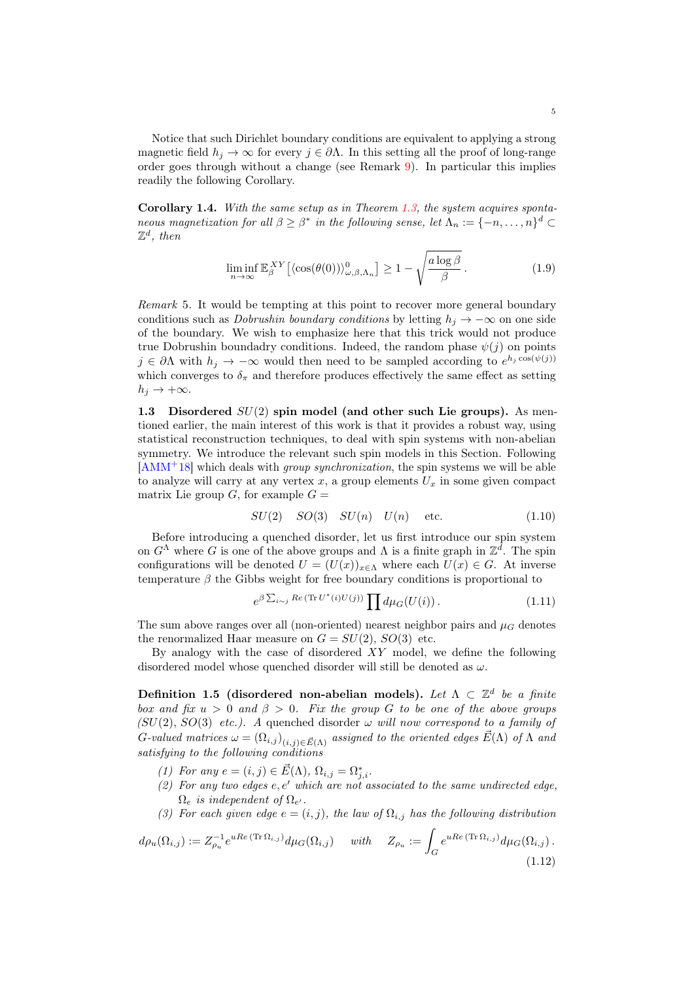Notice that such Dirichlet boundary conditions are equivalent to applying a strong magnetic field  $h_i \to \infty$  for every  $j \in \partial \Lambda$ . In this setting all the proof of long-range order goes through without a change (see Remark [9\)](#page-11-1). In particular this implies readily the following Corollary.

Corollary 1.4. With the same setup as in Theorem [1.3,](#page-3-1) the system acquires spontaneous magnetization for all  $\beta \geq \beta^*$  in the following sense, let  $\Lambda_n := \{-n, \ldots, n\}^d \subset$  $\mathbb{Z}^d$ , then

<span id="page-4-2"></span>
$$
\liminf_{n \to \infty} \mathbb{E}_{\beta}^{XY} \left[ \langle \cos(\theta(0)) \rangle_{\omega,\beta,\Lambda_n}^0 \right] \ge 1 - \sqrt{\frac{a \log \beta}{\beta}}.
$$
\n(1.9)

Remark 5. It would be tempting at this point to recover more general boundary conditions such as *Dobrushin boundary conditions* by letting  $h_i \to -\infty$  on one side of the boundary. We wish to emphasize here that this trick would not produce true Dobrushin boundadry conditions. Indeed, the random phase  $\psi(j)$  on points  $j \in \partial \Lambda$  with  $h_j \to -\infty$  would then need to be sampled according to  $e^{h_j \cos(\psi(j))}$ which converges to  $\delta_{\pi}$  and therefore produces effectively the same effect as setting  $h_i \rightarrow +\infty$ .

<span id="page-4-3"></span>1.3 Disordered  $SU(2)$  spin model (and other such Lie groups). As mentioned earlier, the main interest of this work is that it provides a robust way, using statistical reconstruction techniques, to deal with spin systems with non-abelian symmetry. We introduce the relevant such spin models in this Section. Following  $[AMM<sup>+</sup>18]$  $[AMM<sup>+</sup>18]$  which deals with *group synchronization*, the spin systems we will be able to analyze will carry at any vertex  $x$ , a group elements  $U_x$  in some given compact matrix Lie group  $G$ , for example  $G =$ 

<span id="page-4-1"></span>
$$
SU(2) \quad SO(3) \quad SU(n) \quad U(n) \quad \text{etc.} \tag{1.10}
$$

Before introducing a quenched disorder, let us first introduce our spin system on  $G^{\Lambda}$  where G is one of the above groups and  $\Lambda$  is a finite graph in  $\mathbb{Z}^{\bar{d}}$ . The spin configurations will be denoted  $U = (U(x))_{x \in \Lambda}$  where each  $U(x) \in G$ . At inverse temperature  $\beta$  the Gibbs weight for free boundary conditions is proportional to

<span id="page-4-0"></span>
$$
e^{\beta \sum_{i \sim j} Re\left(\text{Tr } U^*(i)U(j)\right)} \prod d\mu_G\big(U(i)\big) \,. \tag{1.11}
$$

The sum above ranges over all (non-oriented) nearest neighbor pairs and  $\mu$ <sub>G</sub> denotes the renormalized Haar measure on  $G = SU(2), SO(3)$  etc.

By analogy with the case of disordered  $XY$  model, we define the following disordered model whose quenched disorder will still be denoted as  $\omega$ .

Definition 1.5 (disordered non-abelian models). Let  $\Lambda \subset \mathbb{Z}^d$  be a finite box and fix  $u > 0$  and  $\beta > 0$ . Fix the group G to be one of the above groups  $(SU(2), SO(3)$  etc.). A quenched disorder  $\omega$  will now correspond to a family of G-valued matrices  $\omega = (\Omega_{i,j})_{(i,j)\in \vec{E}(\Lambda)}$  assigned to the oriented edges  $\vec{E}(\Lambda)$  of  $\Lambda$  and satisfying to the following conditions

(1) For any  $e = (i, j) \in \vec{E}(\Lambda)$ ,  $\Omega_{i,j} = \Omega_{j,i}^*$ .

- (2) For any two edges  $e, e'$  which are not associated to the same undirected edge,  $\Omega_e$  is independent of  $\Omega_{e'}$ .
- <span id="page-4-4"></span>(3) For each given edge  $e = (i, j)$ , the law of  $\Omega_{i,j}$  has the following distribution

$$
d\rho_u(\Omega_{i,j}) := Z_{\rho_u}^{-1} e^{uRe(\text{Tr}\,\Omega_{i,j})} d\mu_G(\Omega_{i,j}) \quad \text{with} \quad Z_{\rho_u} := \int_G e^{uRe(\text{Tr}\,\Omega_{i,j})} d\mu_G(\Omega_{i,j}).
$$
\n(1.12)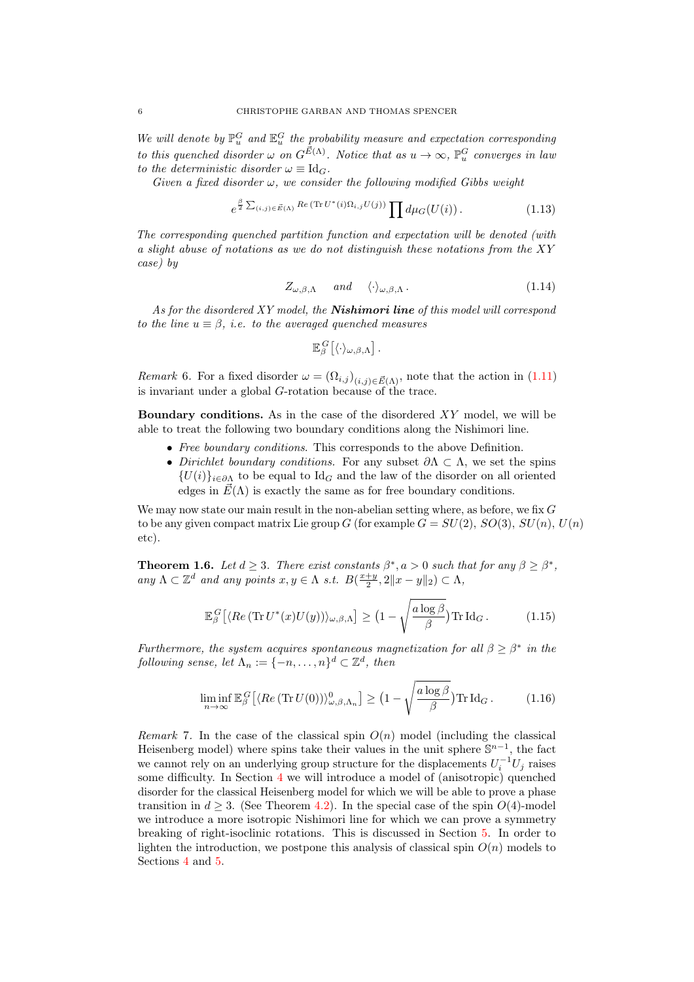We will denote by  $\mathbb{P}^G_u$  and  $\mathbb{E}^G_u$  the probability measure and expectation corresponding to this quenched disorder  $\omega$  on  $G^{\vec{E}(\Lambda)}$ . Notice that as  $u \to \infty$ ,  $\mathbb{P}^G_u$  converges in lau to the deterministic disorder  $\omega \equiv \mathrm{Id}_G$ .

Given a fixed disorder  $\omega$ , we consider the following modified Gibbs weight

$$
e^{\frac{\beta}{2}\sum_{(i,j)\in\vec{E}(\Lambda)}Re(\text{Tr }U^*(i)\Omega_{i,j}U(j))}\prod d\mu_G(U(i)).
$$
\n(1.13)

The corresponding quenched partition function and expectation will be denoted (with a slight abuse of notations as we do not distinguish these notations from the XY case) by

$$
Z_{\omega,\beta,\Lambda} \quad \text{and} \quad \langle \cdot \rangle_{\omega,\beta,\Lambda} \,. \tag{1.14}
$$

As for the disordered XY model, the **Nishimori line** of this model will correspond to the line  $u \equiv \beta$ , i.e. to the averaged quenched measures

$$
\mathbb{E}_{\beta}^{G}\big[\langle \cdot \rangle_{\omega,\beta,\Lambda}\big].
$$

<span id="page-5-1"></span>*Remark* 6. For a fixed disorder  $\omega = (\Omega_{i,j})_{(i,j)\in \vec{E}(\Lambda)}$ , note that the action in [\(1.11\)](#page-4-0) is invariant under a global G-rotation because of the trace.

**Boundary conditions.** As in the case of the disordered  $XY$  model, we will be able to treat the following two boundary conditions along the Nishimori line.

- Free boundary conditions. This corresponds to the above Definition.
- Dirichlet boundary conditions. For any subset  $\partial \Lambda \subset \Lambda$ , we set the spins  ${U(i)}_{i\in\partial\Lambda}$  to be equal to Id<sub>G</sub> and the law of the disorder on all oriented edges in  $\vec{E}(\Lambda)$  is exactly the same as for free boundary conditions.

We may now state our main result in the non-abelian setting where, as before, we fix G to be any given compact matrix Lie group G (for example  $G = SU(2)$ ,  $SO(3)$ ,  $SU(n)$ ,  $U(n)$ etc).

<span id="page-5-0"></span>**Theorem 1.6.** Let  $d \geq 3$ . There exist constants  $\beta^*, a > 0$  such that for any  $\beta \geq \beta^*$ , any  $\Lambda \subset \mathbb{Z}^d$  and any points  $x, y \in \Lambda$  s.t.  $B(\frac{x+y}{2}, 2||x-y||_2) \subset \Lambda$ ,

$$
\mathbb{E}_{\beta}^{G}\left[\langle Re\left(\text{Tr} U^{*}(x)U(y)\right)\rangle_{\omega,\beta,\Lambda}\right] \geq \left(1 - \sqrt{\frac{a\log\beta}{\beta}}\right) \text{Tr} \,\mathrm{Id}_{G}. \tag{1.15}
$$

Furthermore, the system acquires spontaneous magnetization for all  $\beta \geq \beta^*$  in the following sense, let  $\Lambda_n := \{-n, \ldots, n\}^d \subset \mathbb{Z}^d$ , then

$$
\liminf_{n \to \infty} \mathbb{E}_{\beta}^G \left[ \langle Re \left( \text{Tr} \, U(0) \right) \rangle_{\omega,\beta,\Lambda_n}^0 \right] \ge \left( 1 - \sqrt{\frac{a \log \beta}{\beta}} \right) \text{Tr} \, \text{Id}_G \,. \tag{1.16}
$$

Remark 7. In the case of the classical spin  $O(n)$  model (including the classical Heisenberg model) where spins take their values in the unit sphere  $\mathbb{S}^{n-1}$ , the fact we cannot rely on an underlying group structure for the displacements  $U_i^{-1}U_j$  raises some difficulty. In Section [4](#page-14-0) we will introduce a model of (anisotropic) quenched disorder for the classical Heisenberg model for which we will be able to prove a phase transition in  $d \geq 3$ . (See Theorem [4.2\)](#page-15-0). In the special case of the spin  $O(4)$ -model we introduce a more isotropic Nishimori line for which we can prove a symmetry breaking of right-isoclinic rotations. This is discussed in Section [5.](#page-16-0) In order to lighten the introduction, we postpone this analysis of classical spin  $O(n)$  models to Sections [4](#page-14-0) and [5.](#page-16-0)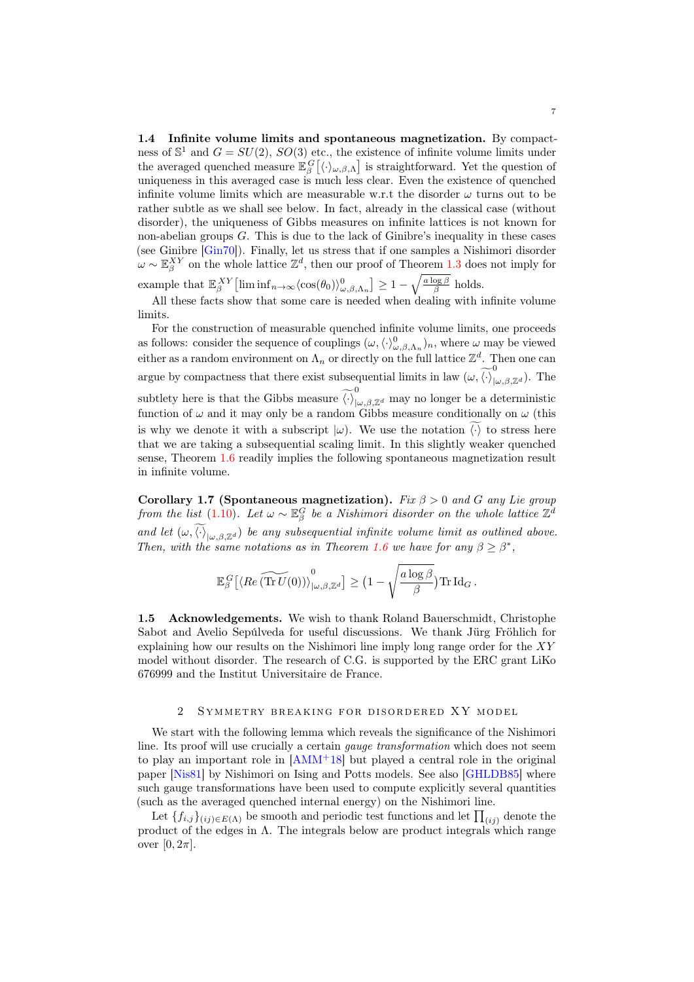<span id="page-6-1"></span>1.4 Infinite volume limits and spontaneous magnetization. By compactness of  $\mathbb{S}^1$  and  $G = SU(2)$ ,  $SO(3)$  etc., the existence of infinite volume limits under the averaged quenched measure  $\mathbb{E}_{\beta}^G[\langle \cdot \rangle_{\omega,\beta,\Lambda}]$  is straightforward. Yet the question of uniqueness in this averaged case is much less clear. Even the existence of quenched infinite volume limits which are measurable w.r.t the disorder  $\omega$  turns out to be rather subtle as we shall see below. In fact, already in the classical case (without disorder), the uniqueness of Gibbs measures on infinite lattices is not known for non-abelian groups  $G$ . This is due to the lack of Ginibre's inequality in these cases (see Ginibre [\[Gin70\]](#page-19-13)). Finally, let us stress that if one samples a Nishimori disorder  $\omega \sim \mathbb{E}_{\beta}^{XY}$  on the whole lattice  $\mathbb{Z}^d$ , then our proof of Theorem [1.3](#page-3-1) does not imply for

example that  $\mathbb{E}_{\beta}^{XY}$  [lim  $\inf_{n\to\infty} \langle \cos(\theta_0) \rangle_{\omega,\beta,\Lambda_n}^0 \geq 1 - \sqrt{\frac{a \log \beta}{\beta}}$  holds.

All these facts show that some care is needed when dealing with infinite volume limits.

For the construction of measurable quenched infinite volume limits, one proceeds as follows: consider the sequence of couplings  $(\omega,\langle \cdot \rangle^0_{\omega,\beta,\Lambda_n})_n$ , where  $\omega$  may be viewed either as a random environment on  $\Lambda_n$  or directly on the full lattice  $\mathbb{Z}^d$ . Then one can argue by compactness that there exist subsequential limits in law  $(\omega, \widetilde{\langle \cdot \rangle}^0_{|\omega,\beta,\mathbb{Z}^d})$ . The subtlety here is that the Gibbs measure  $\widetilde{\langle \cdot \rangle}^0_{\vert \omega,\beta,\mathbb{Z}^d}$  may no longer be a deterministic function of  $\omega$  and it may only be a random Gibbs measure conditionally on  $\omega$  (this is why we denote it with a subscript  $|\omega|$ . We use the notation  $\langle \cdot \rangle$  to stress here that we are taking a subsequential scaling limit. In this slightly weaker quenched sense, Theorem [1.6](#page-5-0) readily implies the following spontaneous magnetization result in infinite volume.

Corollary 1.7 (Spontaneous magnetization). Fix  $\beta > 0$  and G any Lie group from the list [\(1.10\)](#page-4-1). Let  $\omega \sim \mathbb{E}_{\beta}^G$  be a Nishimori disorder on the whole lattice  $\mathbb{Z}^d$ and let  $(\omega,\langle\cdot\rangle_{|\omega,\beta,\mathbb{Z}^d})$  be any subsequential infinite volume limit as outlined above. Then, with the same notations as in Theorem [1.6](#page-5-0) we have for any  $\beta \geq \beta^*$ ,

$$
\mathbb{E}_{\beta}^G\big[\langle Re\,(\widetilde{\text{Tr }U}(0))\rangle_{|\omega,\beta,\mathbb{Z}^d}^0\big]\geq \big(1-\sqrt{\frac{a\log\beta}{\beta}}\big)\text{Tr }\text{Id}_G\,.
$$

1.5 Acknowledgements. We wish to thank Roland Bauerschmidt, Christophe Sabot and Avelio Sepúlveda for useful discussions. We thank Jürg Fröhlich for explaining how our results on the Nishimori line imply long range order for the XY model without disorder. The research of C.G. is supported by the ERC grant LiKo 676999 and the Institut Universitaire de France.

## 2 SYMMETRY BREAKING FOR DISORDERED XY MODEL

<span id="page-6-0"></span>We start with the following lemma which reveals the significance of the Nishimori line. Its proof will use crucially a certain *gauge transformation* which does not seem to play an important role in [\[AMM](#page-19-0)<sup>+</sup>18] but played a central role in the original paper [\[Nis81\]](#page-20-0) by Nishimori on Ising and Potts models. See also [\[GHLDB85\]](#page-19-1) where such gauge transformations have been used to compute explicitly several quantities (such as the averaged quenched internal energy) on the Nishimori line.

Let  $\{f_{i,j}\}_{(ij)\in E(\Lambda)}$  be smooth and periodic test functions and let  $\prod_{(ij)}$  denote the product of the edges in  $\Lambda$ . The integrals below are product integrals which range over  $[0, 2\pi]$ .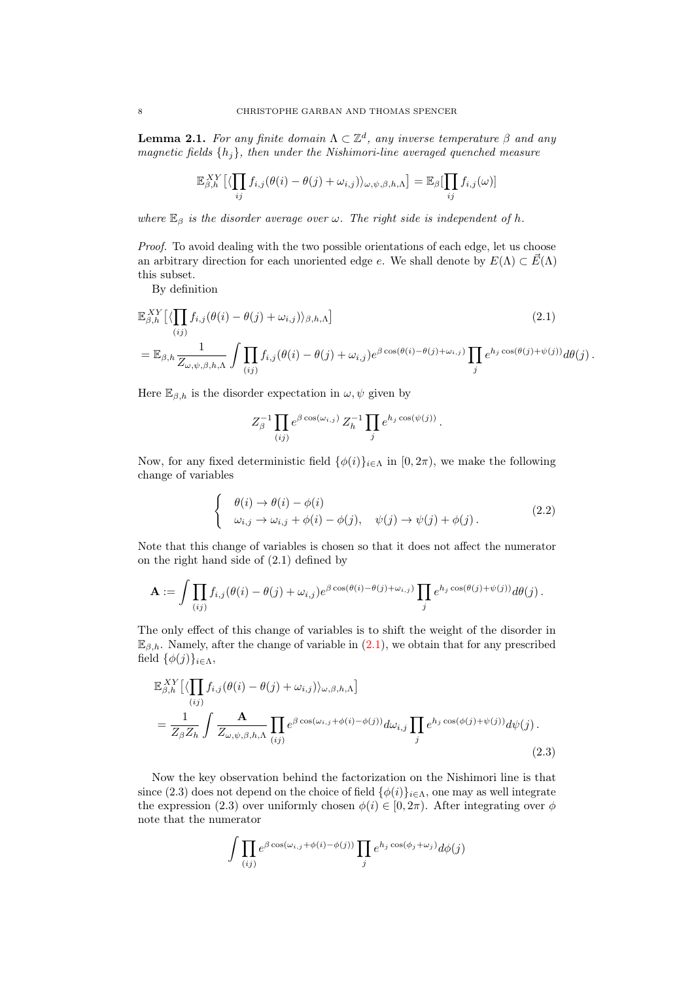<span id="page-7-0"></span>**Lemma 2.1.** For any finite domain  $\Lambda \subset \mathbb{Z}^d$ , any inverse temperature  $\beta$  and any magnetic fields  $\{h_i\}$ , then under the Nishimori-line averaged quenched measure

$$
\mathbb{E}_{\beta,h}^{XY}\left[\langle \prod_{ij} f_{i,j}(\theta(i) - \theta(j) + \omega_{i,j})\rangle_{\omega,\psi,\beta,h,\Lambda}\right] = \mathbb{E}_{\beta}[\prod_{ij} f_{i,j}(\omega)]
$$

where  $\mathbb{E}_{\beta}$  is the disorder average over  $\omega$ . The right side is independent of h.

Proof. To avoid dealing with the two possible orientations of each edge, let us choose an arbitrary direction for each unoriented edge e. We shall denote by  $E(\Lambda) \subset \vec{E}(\Lambda)$ this subset.

By definition

$$
\mathbb{E}_{\beta,h}^{XY} [\langle \prod_{(ij)} f_{i,j}(\theta(i) - \theta(j) + \omega_{i,j}) \rangle_{\beta,h,\Lambda}]
$$
\n
$$
= \mathbb{E}_{\beta,h} \frac{1}{Z_{\omega,\psi,\beta,h,\Lambda}} \int \prod_{(ij)} f_{i,j}(\theta(i) - \theta(j) + \omega_{i,j}) e^{\beta \cos(\theta(i) - \theta(j) + \omega_{i,j})} \prod_j e^{h_j \cos(\theta(j) + \psi(j))} d\theta(j).
$$
\n(2.1)

Here  $\mathbb{E}_{\beta,h}$  is the disorder expectation in  $\omega, \psi$  given by

<span id="page-7-1"></span>
$$
Z_\beta^{-1} \prod_{(ij)} e^{\beta \cos(\omega_{i,j})} Z_h^{-1} \prod_j e^{h_j \cos(\psi(j))}.
$$

Now, for any fixed deterministic field  $\{\phi(i)\}_{i\in\Lambda}$  in  $[0, 2\pi)$ , we make the following change of variables

$$
\begin{cases}\n\theta(i) \to \theta(i) - \phi(i) \\
\omega_{i,j} \to \omega_{i,j} + \phi(i) - \phi(j), \quad \psi(j) \to \psi(j) + \phi(j).\n\end{cases}
$$
\n(2.2)

Note that this change of variables is chosen so that it does not affect the numerator on the right hand side of (2.1) defined by

$$
\mathbf{A} := \int \prod_{(ij)} f_{i,j}(\theta(i) - \theta(j) + \omega_{i,j}) e^{\beta \cos(\theta(i) - \theta(j) + \omega_{i,j})} \prod_j e^{h_j \cos(\theta(j) + \psi(j))} d\theta(j).
$$

The only effect of this change of variables is to shift the weight of the disorder in  $\mathbb{E}_{\beta,h}$ . Namely, after the change of variable in  $(2.1)$ , we obtain that for any prescribed field  $\{\phi(j)\}_{i\in\Lambda}$ ,

$$
\mathbb{E}_{\beta,h}^{XY}[\langle \prod_{(ij)} f_{i,j}(\theta(i) - \theta(j) + \omega_{i,j}) \rangle_{\omega,\beta,h,\Lambda}]
$$
\n
$$
= \frac{1}{Z_{\beta}Z_{h}} \int \frac{A}{Z_{\omega,\psi,\beta,h,\Lambda}} \prod_{(ij)} e^{\beta \cos(\omega_{i,j} + \phi(i) - \phi(j))} d\omega_{i,j} \prod_{j} e^{h_{j} \cos(\phi(j) + \psi(j))} d\psi(j).
$$
\n(2.3)

Now the key observation behind the factorization on the Nishimori line is that since (2.3) does not depend on the choice of field  $\{\phi(i)\}_{i\in\Lambda}$ , one may as well integrate the expression (2.3) over uniformly chosen  $\phi(i) \in [0, 2\pi)$ . After integrating over  $\phi$ note that the numerator

$$
\int \prod_{(ij)} e^{\beta \cos(\omega_{i,j} + \phi(i) - \phi(j))} \prod_j e^{h_j \cos(\phi_j + \omega_j)} d\phi(j)
$$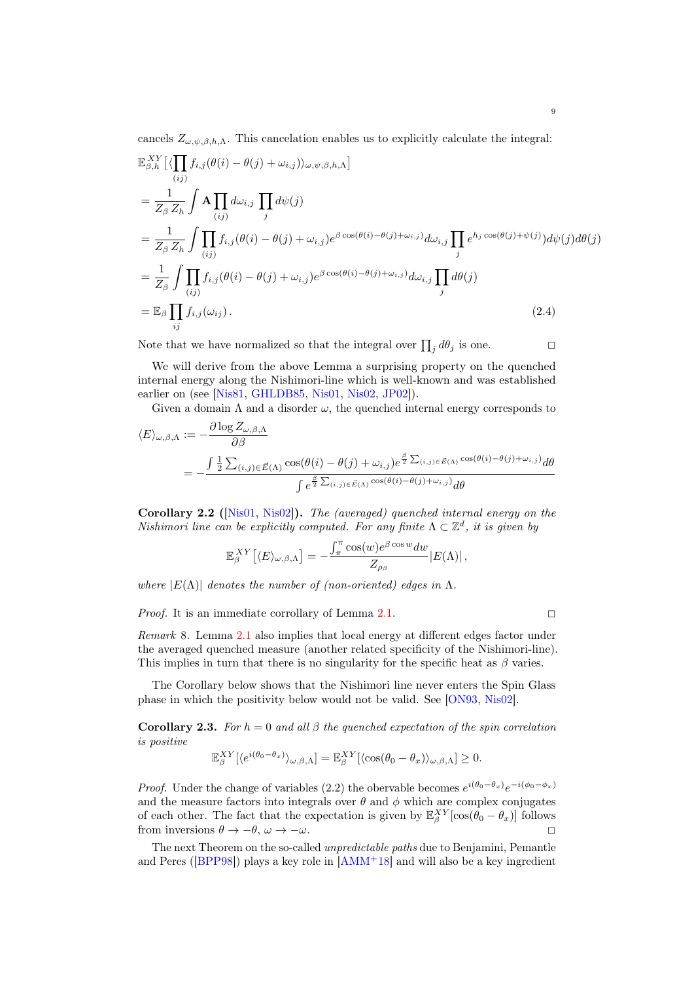cancels  $Z_{\omega,\psi,\beta,h,\Lambda}$ . This cancelation enables us to explicitly calculate the integral:

$$
\mathbb{E}_{\beta,h}^{XY}[\langle \prod_{(ij)} f_{i,j}(\theta(i) - \theta(j) + \omega_{i,j}) \rangle_{\omega,\psi,\beta,h,\Lambda}]
$$
\n
$$
= \frac{1}{Z_{\beta} Z_{h}} \int \mathbf{A} \prod_{(ij)} d\omega_{i,j} \prod_{j} d\psi(j)
$$
\n
$$
= \frac{1}{Z_{\beta} Z_{h}} \int \prod_{(ij)} f_{i,j}(\theta(i) - \theta(j) + \omega_{i,j}) e^{\beta \cos(\theta(i) - \theta(j) + \omega_{i,j})} d\omega_{i,j} \prod_{j} e^{h_{j} \cos(\theta(j) + \psi(j))} d\psi(j) d\theta(j)
$$
\n
$$
= \frac{1}{Z_{\beta}} \int \prod_{(ij)} f_{i,j}(\theta(i) - \theta(j) + \omega_{i,j}) e^{\beta \cos(\theta(i) - \theta(j) + \omega_{i,j})} d\omega_{i,j} \prod_{j} d\theta(j)
$$
\n
$$
= \mathbb{E}_{\beta} \prod_{ij} f_{i,j}(\omega_{ij}). \tag{2.4}
$$

Note that we have normalized so that the integral over  $\prod_j d\theta_j$  is one.

We will derive from the above Lemma a surprising property on the quenched internal energy along the Nishimori-line which is well-known and was established earlier on (see [\[Nis81,](#page-20-0) [GHLDB85,](#page-19-1) [Nis01,](#page-20-3) [Nis02,](#page-20-4) [JP02\]](#page-20-11)).

Given a domain  $\Lambda$  and a disorder  $\omega$ , the quenched internal energy corresponds to

$$
\langle E \rangle_{\omega,\beta,\Lambda} := -\frac{\partial \log Z_{\omega,\beta,\Lambda}}{\partial \beta}
$$
  
= 
$$
-\frac{\int \frac{1}{2} \sum_{(i,j) \in \vec{E}(\Lambda)} \cos(\theta(i) - \theta(j) + \omega_{i,j}) e^{\frac{\beta}{2} \sum_{(i,j) \in \vec{E}(\Lambda)} \cos(\theta(i) - \theta(j) + \omega_{i,j})} d\theta}{\int e^{\frac{\beta}{2} \sum_{(i,j) \in \vec{E}(\Lambda)} \cos(\theta(i) - \theta(j) + \omega_{i,j})} d\theta}
$$

Corollary 2.2 ([\[Nis01,](#page-20-3) [Nis02\]](#page-20-4)). The (averaged) quenched internal energy on the Nishimori line can be explicitly computed. For any finite  $\Lambda \subset \mathbb{Z}^d$ , it is given by

$$
\mathbb{E}_{\beta}^{XY}\big[\langle E\rangle_{\omega,\beta,\Lambda}\big] = -\frac{\int_{\pi}^{\pi}\cos(w)e^{\beta\cos w}dw}{Z_{\rho_{\beta}}} |E(\Lambda)|\,,
$$

where  $|E(\Lambda)|$  denotes the number of (non-oriented) edges in  $\Lambda$ .

*Proof.* It is an immediate corrollary of Lemma [2.1.](#page-7-0)  $\square$ 

Remark 8. Lemma [2.1](#page-7-0) also implies that local energy at different edges factor under the averaged quenched measure (another related specificity of the Nishimori-line). This implies in turn that there is no singularity for the specific heat as  $\beta$  varies.

The Corollary below shows that the Nishimori line never enters the Spin Glass phase in which the positivity below would not be valid. See [\[ON93,](#page-20-1) [Nis02\]](#page-20-4).

Corollary 2.3. For  $h = 0$  and all  $\beta$  the quenched expectation of the spin correlation is positive

$$
\mathbb{E}_{\beta}^{XY}[\langle e^{i(\theta_0-\theta_x)}\rangle_{\omega,\beta,\Lambda}] = \mathbb{E}_{\beta}^{XY}[\langle \cos(\theta_0-\theta_x)\rangle_{\omega,\beta,\Lambda}] \geq 0.
$$

*Proof.* Under the change of variables (2.2) the obervable becomes  $e^{i(\theta_0 - \theta_x)}e^{-i(\phi_0 - \phi_x)}$ and the measure factors into integrals over  $\theta$  and  $\phi$  which are complex conjugates of each other. The fact that the expectation is given by  $\mathbb{E}_{\beta}^{XY}[\cos(\theta_0 - \theta_x)]$  follows from inversions  $\theta \to -\theta$ ,  $\omega \to -\omega$ .

The next Theorem on the so-called *unpredictable paths* due to Benjamini, Pemantle and Peres ( $[BPP98]$ ) plays a key role in  $[AMM<sup>+</sup>18]$  $[AMM<sup>+</sup>18]$  and will also be a key ingredient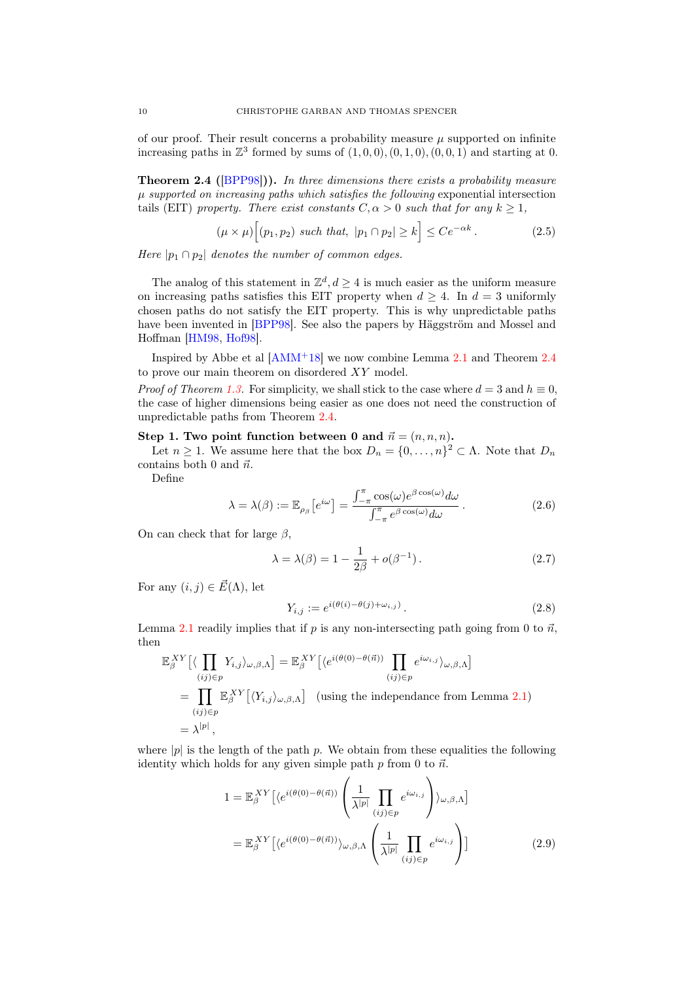of our proof. Their result concerns a probability measure  $\mu$  supported on infinite increasing paths in  $\mathbb{Z}^3$  formed by sums of  $(1,0,0), (0,1,0), (0,0,1)$  and starting at 0.

<span id="page-9-0"></span>Theorem 2.4 ([\[BPP98\]](#page-19-11))). In three dimensions there exists a probability measure  $\mu$  supported on increasing paths which satisfies the following exponential intersection tails (EIT) property. There exist constants  $C, \alpha > 0$  such that for any  $k \geq 1$ ,

$$
(\mu \times \mu) \Big[ (p_1, p_2) \text{ such that, } |p_1 \cap p_2| \ge k \Big] \le C e^{-\alpha k} \,. \tag{2.5}
$$

Here  $|p_1 \cap p_2|$  denotes the number of common edges.

The analog of this statement in  $\mathbb{Z}^d, d \geq 4$  is much easier as the uniform measure on increasing paths satisfies this EIT property when  $d \geq 4$ . In  $d = 3$  uniformly chosen paths do not satisfy the EIT property. This is why unpredictable paths have been invented in [\[BPP98\]](#page-19-11). See also the papers by Häggström and Mossel and Hoffman [\[HM98,](#page-19-14) [Hof98\]](#page-19-15).

Inspired by Abbe et al  $[AMM<sup>+</sup>18]$  $[AMM<sup>+</sup>18]$  we now combine Lemma [2.1](#page-7-0) and Theorem [2.4](#page-9-0) to prove our main theorem on disordered XY model.

*Proof of Theorem [1.3.](#page-3-1)* For simplicity, we shall stick to the case where  $d = 3$  and  $h \equiv 0$ , the case of higher dimensions being easier as one does not need the construction of unpredictable paths from Theorem [2.4.](#page-9-0)

Step 1. Two point function between 0 and  $\vec{n} = (n, n, n)$ .

Let  $n \geq 1$ . We assume here that the box  $D_n = \{0, \ldots, n\}^2 \subset \Lambda$ . Note that  $D_n$ contains both 0 and  $\vec{n}$ .

Define

$$
\lambda = \lambda(\beta) := \mathbb{E}_{\rho_{\beta}} \left[ e^{i\omega} \right] = \frac{\int_{-\pi}^{\pi} \cos(\omega) e^{\beta \cos(\omega)} d\omega}{\int_{-\pi}^{\pi} e^{\beta \cos(\omega)} d\omega} . \tag{2.6}
$$

On can check that for large  $\beta$ ,

$$
\lambda = \lambda(\beta) = 1 - \frac{1}{2\beta} + o(\beta^{-1}).
$$
\n(2.7)

For any  $(i, j) \in \vec{E}(\Lambda)$ , let

<span id="page-9-2"></span>
$$
Y_{i,j} := e^{i(\theta(i) - \theta(j) + \omega_{i,j})}.
$$
\n
$$
(2.8)
$$

Lemma [2.1](#page-7-0) readily implies that if p is any non-intersecting path going from 0 to  $\vec{n}$ , then

$$
\mathbb{E}_{\beta}^{XY}[(\prod_{(ij)\in p} Y_{i,j})_{\omega,\beta,\Lambda}] = \mathbb{E}_{\beta}^{XY}[(e^{i(\theta(0)-\theta(\vec{n}))}\prod_{(ij)\in p} e^{i\omega_{i,j}})_{\omega,\beta,\Lambda}]
$$
\n
$$
= \prod_{(ij)\in p} \mathbb{E}_{\beta}^{XY}[(Y_{i,j})_{\omega,\beta,\Lambda}] \quad \text{(using the independence from Lemma 2.1)}
$$
\n
$$
= \lambda^{|p|},
$$

where  $|p|$  is the length of the path p. We obtain from these equalities the following identity which holds for any given simple path  $p$  from 0 to  $\vec{n}$ .

<span id="page-9-1"></span>
$$
1 = \mathbb{E}_{\beta}^{XY} \left[ \langle e^{i(\theta(0) - \theta(\vec{n}))} \left( \frac{1}{\lambda^{p}} \prod_{(ij) \in p} e^{i\omega_{i,j}} \right) \rangle_{\omega, \beta, \Lambda} \right]
$$

$$
= \mathbb{E}_{\beta}^{XY} \left[ \langle e^{i(\theta(0) - \theta(\vec{n}))} \rangle_{\omega, \beta, \Lambda} \left( \frac{1}{\lambda^{p}} \prod_{(ij) \in p} e^{i\omega_{i,j}} \right) \right]
$$
(2.9)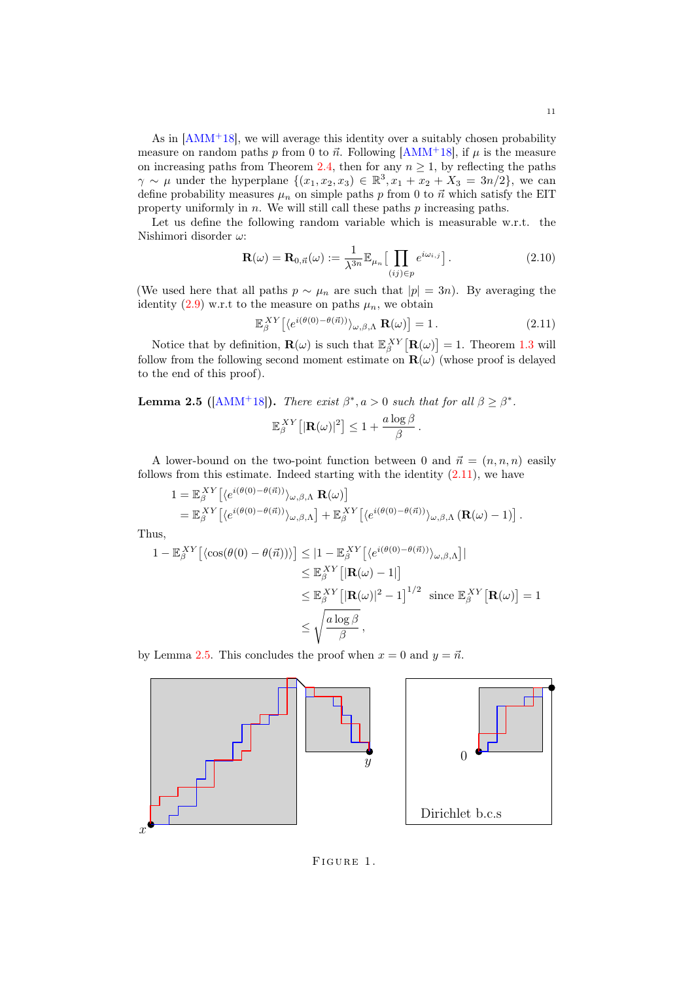As in  $[AMM<sup>+</sup>18]$  $[AMM<sup>+</sup>18]$ , we will average this identity over a suitably chosen probability measure on random paths p from 0 to  $\vec{n}$ . Following [\[AMM](#page-19-0)<sup>+18]</sup>, if  $\mu$  is the measure on increasing paths from Theorem [2.4,](#page-9-0) then for any  $n \geq 1$ , by reflecting the paths  $\gamma \sim \mu$  under the hyperplane  $\{(x_1, x_2, x_3) \in \mathbb{R}^3, x_1 + x_2 + X_3 = 3n/2\}$ , we can define probability measures  $\mu_n$  on simple paths p from 0 to  $\vec{n}$  which satisfy the EIT property uniformly in  $n$ . We will still call these paths  $p$  increasing paths.

Let us define the following random variable which is measurable w.r.t. the Nishimori disorder  $\omega$ :

$$
\mathbf{R}(\omega) = \mathbf{R}_{0,\vec{n}}(\omega) := \frac{1}{\lambda^{3n}} \mathbb{E}_{\mu_n} \left[ \prod_{(ij) \in p} e^{i\omega_{i,j}} \right].
$$
 (2.10)

(We used here that all paths  $p \sim \mu_n$  are such that  $|p| = 3n$ ). By averaging the identity [\(2.9\)](#page-9-1) w.r.t to the measure on paths  $\mu_n$ , we obtain

$$
\mathbb{E}_{\beta}^{XY} \left[ \langle e^{i(\theta(0) - \theta(\vec{n}))} \rangle_{\omega, \beta, \Lambda} \mathbf{R}(\omega) \right] = 1. \tag{2.11}
$$

Notice that by definition,  $\mathbf{R}(\omega)$  is such that  $\mathbb{E}_{\beta}^{XY}[\mathbf{R}(\omega)] = 1$ . Theorem [1.3](#page-3-1) will follow from the following second moment estimate on  $\mathbf{R}(\omega)$  (whose proof is delayed to the end of this proof).

<span id="page-10-1"></span>**Lemma 2.5** ( $[AMM^+18]$  $[AMM^+18]$ ). There exist  $\beta^*, a > 0$  such that for all  $\beta \geq \beta^*$ .

<span id="page-10-0"></span>
$$
\mathbb{E}_{\beta}^{XY}\big[|\mathbf{R}(\omega)|^2\big] \leq 1 + \frac{a\log\beta}{\beta} \,.
$$

A lower-bound on the two-point function between 0 and  $\vec{n} = (n, n, n)$  easily follows from this estimate. Indeed starting with the identity  $(2.11)$ , we have

$$
1 = \mathbb{E}_{\beta}^{XY} \left[ \langle e^{i(\theta(0) - \theta(\vec{\pi}))} \rangle_{\omega, \beta, \Lambda} \mathbf{R}(\omega) \right]
$$
  
=  $\mathbb{E}_{\beta}^{XY} \left[ \langle e^{i(\theta(0) - \theta(\vec{\pi}))} \rangle_{\omega, \beta, \Lambda} \right] + \mathbb{E}_{\beta}^{XY} \left[ \langle e^{i(\theta(0) - \theta(\vec{\pi}))} \rangle_{\omega, \beta, \Lambda} \left( \mathbf{R}(\omega) - 1 \right) \right].$ 

Thus,

$$
1 - \mathbb{E}_{\beta}^{XY} \left[ \langle \cos(\theta(0) - \theta(\vec{n})) \rangle \right] \leq |1 - \mathbb{E}_{\beta}^{XY} \left[ \langle e^{i(\theta(0) - \theta(\vec{n}))} \rangle_{\omega, \beta, \Lambda} \right] |
$$
  
\n
$$
\leq \mathbb{E}_{\beta}^{XY} \left[ |\mathbf{R}(\omega) - 1| \right]
$$
  
\n
$$
\leq \mathbb{E}_{\beta}^{XY} \left[ |\mathbf{R}(\omega)|^2 - 1 \right]^{1/2} \text{ since } \mathbb{E}_{\beta}^{XY} \left[ \mathbf{R}(\omega) \right] = 1
$$
  
\n
$$
\leq \sqrt{\frac{a \log \beta}{\beta}},
$$

by Lemma [2.5.](#page-10-1) This concludes the proof when  $x = 0$  and  $y = \vec{n}$ .



<span id="page-10-2"></span>FIGURE 1.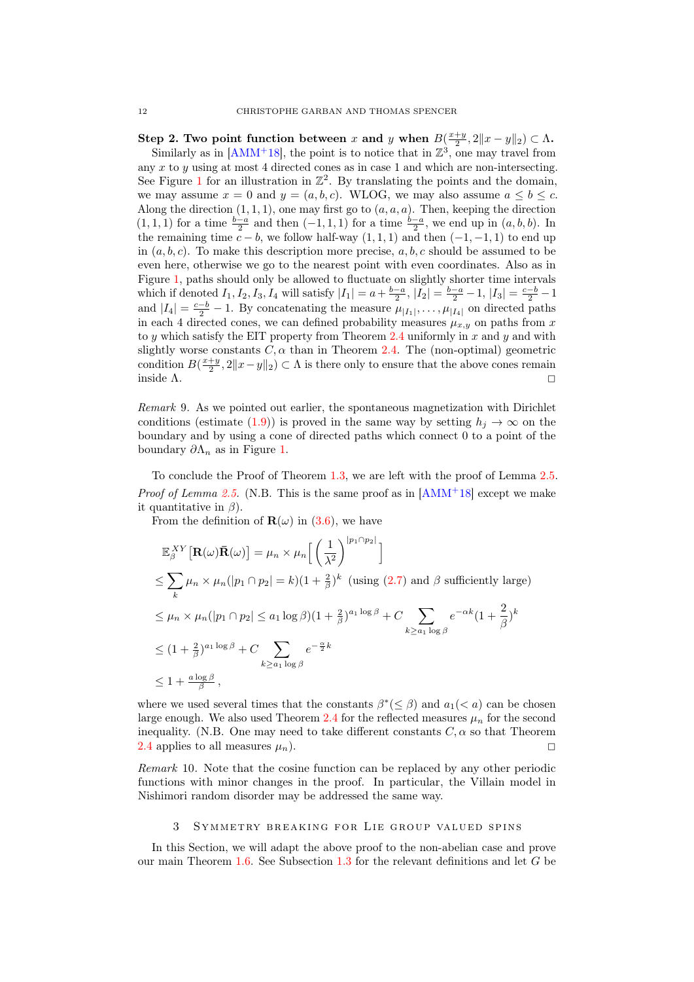Step 2. Two point function between x and y when  $B(\frac{x+y}{2}, 2||x-y||_2) \subset \Lambda$ . Similarly as in  $[AMM^+18]$  $[AMM^+18]$ , the point is to notice that in  $\mathbb{Z}^3$ , one may travel from any x to  $\gamma$  using at most 4 directed cones as in case 1 and which are non-intersecting. See Figure [1](#page-10-2) for an illustration in  $\mathbb{Z}^2$ . By translating the points and the domain, we may assume  $x = 0$  and  $y = (a, b, c)$ . WLOG, we may also assume  $a \leq b \leq c$ . Along the direction  $(1, 1, 1)$ , one may first go to  $(a, a, a)$ . Then, keeping the direction  $(1, 1, 1)$  for a time  $\frac{b-a}{2}$  and then  $(-1, 1, 1)$  for a time  $\frac{b-a}{2}$ , we end up in  $(a, b, b)$ . In the remaining time  $c - b$ , we follow half-way  $(1, 1, 1)$  and then  $(-1, -1, 1)$  to end up in  $(a, b, c)$ . To make this description more precise,  $a, b, c$  should be assumed to be even here, otherwise we go to the nearest point with even coordinates. Also as in Figure [1,](#page-10-2) paths should only be allowed to fluctuate on slightly shorter time intervals which if denoted  $I_1, I_2, I_3, I_4$  will satisfy  $|I_1| = a + \frac{b-a}{2}$ ,  $|I_2| = \frac{b-a}{2} - 1$ ,  $|I_3| = \frac{c-b}{2} - 1$ and  $|I_4| = \frac{c-b}{2} - 1$ . By concatenating the measure  $\mu_{|I_1|}, \ldots, \mu_{|I_4|}$  on directed paths in each 4 directed cones, we can defined probability measures  $\mu_{x,y}$  on paths from x to y which satisfy the EIT property from Theorem [2.4](#page-9-0) uniformly in  $x$  and  $y$  and with slightly worse constants  $C, \alpha$  than in Theorem [2.4.](#page-9-0) The (non-optimal) geometric condition  $B(\frac{x+y}{2}, 2||x-y||_2) \subset \Lambda$  is there only to ensure that the above cones remain inside  $\Lambda$ .

<span id="page-11-1"></span>Remark 9. As we pointed out earlier, the spontaneous magnetization with Dirichlet conditions (estimate [\(1.9\)](#page-4-2)) is proved in the same way by setting  $h_i \to \infty$  on the boundary and by using a cone of directed paths which connect 0 to a point of the boundary  $\partial \Lambda_n$  as in Figure [1.](#page-10-2)

To conclude the Proof of Theorem [1.3,](#page-3-1) we are left with the proof of Lemma [2.5.](#page-10-1) *Proof of Lemma [2.5.](#page-10-1)* (N.B. This is the same proof as in  $[AMM+18]$  $[AMM+18]$  except we make it quantitative in  $\beta$ ).

From the definition of  $\mathbf{R}(\omega)$  in [\(3.6\)](#page-13-0), we have

$$
\mathbb{E}_{\beta}^{XY} [\mathbf{R}(\omega) \bar{\mathbf{R}}(\omega)] = \mu_n \times \mu_n \Big[ \left( \frac{1}{\lambda^2} \right)^{|p_1 \cap p_2|} \Big]
$$
  
\n
$$
\leq \sum_{k} \mu_n \times \mu_n (|p_1 \cap p_2| = k)(1 + \frac{2}{\beta})^k \text{ (using (2.7) and } \beta \text{ sufficiently large})
$$
  
\n
$$
\leq \mu_n \times \mu_n (|p_1 \cap p_2| \leq a_1 \log \beta)(1 + \frac{2}{\beta})^{a_1 \log \beta} + C \sum_{k \geq a_1 \log \beta} e^{-\alpha k} (1 + \frac{2}{\beta})^k
$$
  
\n
$$
\leq (1 + \frac{2}{\beta})^{a_1 \log \beta} + C \sum_{k \geq a_1 \log \beta} e^{-\frac{\alpha}{2}k}
$$
  
\n
$$
\leq 1 + \frac{a \log \beta}{\beta},
$$

where we used several times that the constants  $\beta^*(\leq \beta)$  and  $a_1(< a)$  can be chosen large enough. We also used Theorem [2.4](#page-9-0) for the reflected measures  $\mu_n$  for the second inequality. (N.B. One may need to take different constants  $C, \alpha$  so that Theorem [2.4](#page-9-0) applies to all measures  $\mu_n$ ).

Remark 10. Note that the cosine function can be replaced by any other periodic functions with minor changes in the proof. In particular, the Villain model in Nishimori random disorder may be addressed the same way.

### 3 SYMMETRY BREAKING FOR LIE GROUP VALUED SPINS

<span id="page-11-0"></span>In this Section, we will adapt the above proof to the non-abelian case and prove our main Theorem [1.6.](#page-5-0) See Subsection [1.3](#page-4-3) for the relevant definitions and let G be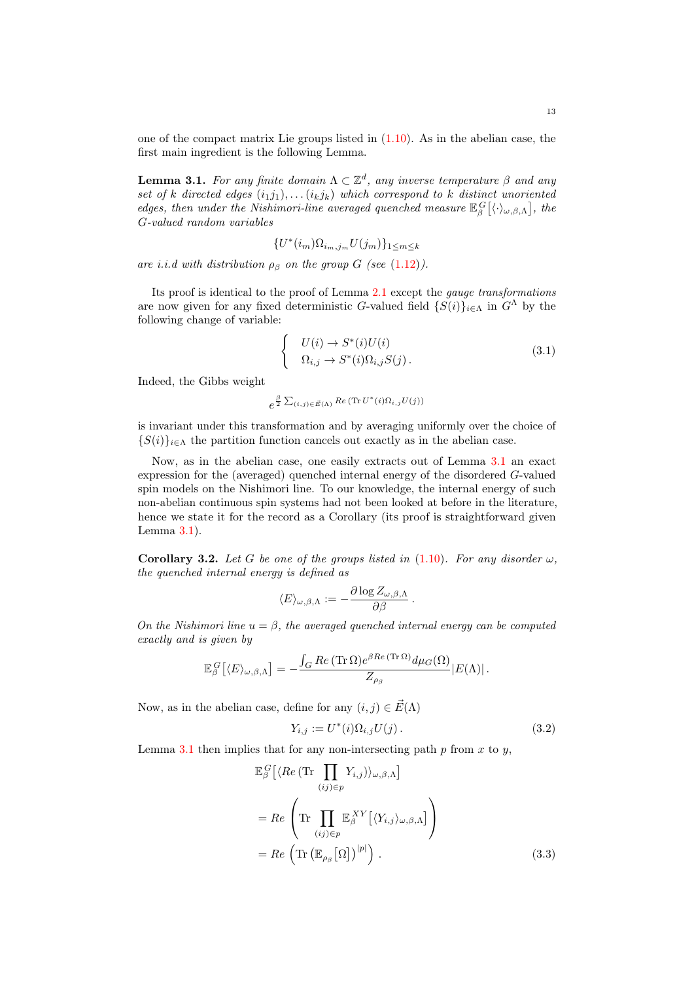one of the compact matrix Lie groups listed in  $(1.10)$ . As in the abelian case, the first main ingredient is the following Lemma.

<span id="page-12-0"></span>**Lemma 3.1.** For any finite domain  $\Lambda \subset \mathbb{Z}^d$ , any inverse temperature  $\beta$  and any set of k directed edges  $(i_1j_1), \ldots (i_kj_k)$  which correspond to k distinct unoriented edges, then under the Nishimori-line averaged quenched measure  $\mathbb{E}_{\beta}^G[\langle \cdot \rangle_{\omega,\beta,\Lambda}]$ , the G-valued random variables

$$
\{U^*(i_m)\Omega_{i_m,j_m}U(j_m)\}_{1\leq m\leq k}
$$

are i.i.d with distribution  $\rho_{\beta}$  on the group G (see [\(1.12\)](#page-4-4)).

Its proof is identical to the proof of Lemma [2.1](#page-7-0) except the gauge transformations are now given for any fixed deterministic G-valued field  $\{S(i)\}_{i\in\Lambda}$  in  $G^{\Lambda}$  by the following change of variable:

$$
\begin{cases}\nU(i) \to S^*(i)U(i) \\
\Omega_{i,j} \to S^*(i)\Omega_{i,j}S(j)\n\end{cases} (3.1)
$$

Indeed, the Gibbs weight

$$
e^{\frac{\beta}{2}\sum_{(i,j)\in \vec{E}(\Lambda)}Re(\text{Tr }U^*(i)\Omega_{i,j}U(j))}
$$

is invariant under this transformation and by averaging uniformly over the choice of  ${S(i)}_{i \in \Lambda}$  the partition function cancels out exactly as in the abelian case.

Now, as in the abelian case, one easily extracts out of Lemma [3.1](#page-12-0) an exact expression for the (averaged) quenched internal energy of the disordered G-valued spin models on the Nishimori line. To our knowledge, the internal energy of such non-abelian continuous spin systems had not been looked at before in the literature, hence we state it for the record as a Corollary (its proof is straightforward given Lemma  $3.1$ ).

**Corollary 3.2.** Let G be one of the groups listed in  $(1.10)$ . For any disorder  $\omega$ , the quenched internal energy is defined as

$$
\langle E\rangle_{\omega,\beta,\Lambda}:=-\frac{\partial \log Z_{\omega,\beta,\Lambda}}{\partial \beta}.
$$

On the Nishimori line  $u = \beta$ , the averaged quenched internal energy can be computed exactly and is given by

$$
\mathbb{E}_{\beta}^{G}\left[ \langle E \rangle_{\omega,\beta,\Lambda} \right] = -\frac{\int_{G} \text{Re} \left( \text{Tr} \,\Omega \right) e^{\beta \text{Re} \, (\text{Tr} \,\Omega)} d\mu_G(\Omega)}{Z_{\rho_{\beta}}} |E(\Lambda)| \, .
$$

Now, as in the abelian case, define for any  $(i, j) \in \vec{E}(\Lambda)$ 

<span id="page-12-1"></span>
$$
Y_{i,j} := U^*(i)\Omega_{i,j}U(j).
$$
\n(3.2)

Lemma [3.1](#page-12-0) then implies that for any non-intersecting path  $p$  from  $x$  to  $y$ ,

$$
\mathbb{E}_{\beta}^{G} \left[ \langle Re \left( \text{Tr} \prod_{(ij) \in p} Y_{i,j} \right) \rangle_{\omega,\beta,\Lambda} \right]
$$
\n
$$
= Re \left( \text{Tr} \prod_{(ij) \in p} \mathbb{E}_{\beta}^{XY} \left[ \langle Y_{i,j} \rangle_{\omega,\beta,\Lambda} \right] \right)
$$
\n
$$
= Re \left( \text{Tr} \left( \mathbb{E}_{\rho_{\beta}}[\Omega] \right)^{|p|} \right). \tag{3.3}
$$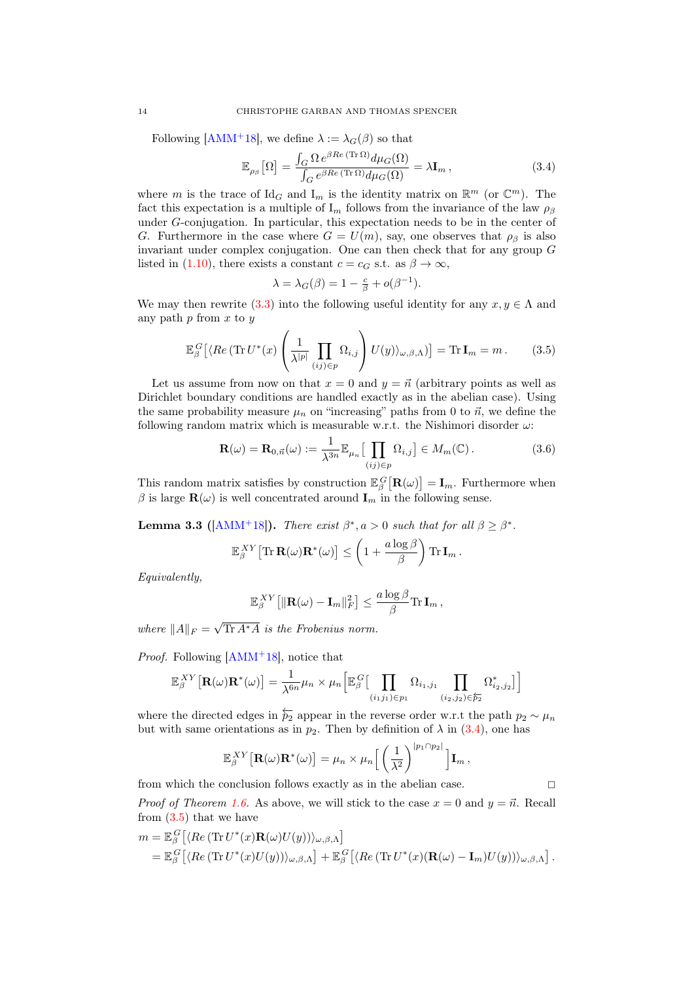Following [\[AMM](#page-19-0)<sup>+</sup>18], we define  $\lambda := \lambda_G(\beta)$  so that

<span id="page-13-1"></span>
$$
\mathbb{E}_{\rho_{\beta}}[\Omega] = \frac{\int_{G} \Omega \, e^{\beta Re \, (\text{Tr}\,\Omega)} d\mu_{G}(\Omega)}{\int_{G} e^{\beta Re \, (\text{Tr}\,\Omega)} d\mu_{G}(\Omega)} = \lambda \mathbf{I}_{m} \,, \tag{3.4}
$$

where m is the trace of  $\mathrm{Id}_G$  and  $\mathrm{I}_m$  is the identity matrix on  $\mathbb{R}^m$  (or  $\mathbb{C}^m$ ). The fact this expectation is a multiple of  $I_m$  follows from the invariance of the law  $\rho_\beta$ under G-conjugation. In particular, this expectation needs to be in the center of G. Furthermore in the case where  $G = U(m)$ , say, one observes that  $\rho_{\beta}$  is also invariant under complex conjugation. One can then check that for any group G listed in [\(1.10\)](#page-4-1), there exists a constant  $c = c_G$  s.t. as  $\beta \to \infty$ ,

<span id="page-13-2"></span><span id="page-13-0"></span>
$$
\lambda = \lambda_G(\beta) = 1 - \frac{c}{\beta} + o(\beta^{-1}).
$$

We may then rewrite [\(3.3\)](#page-12-1) into the following useful identity for any  $x, y \in \Lambda$  and any path  $p$  from  $x$  to  $y$ 

$$
\mathbb{E}_{\beta}^{G}\left[\langle Re\left(\operatorname{Tr}U^{*}(x)\left(\frac{1}{\lambda^{|p|}}\prod_{(ij)\in p}\Omega_{i,j}\right)U(y)\rangle_{\omega,\beta,\Lambda}\right)\right] = \operatorname{Tr}\mathbf{I}_{m} = m. \tag{3.5}
$$

Let us assume from now on that  $x = 0$  and  $y = \vec{n}$  (arbitrary points as well as Dirichlet boundary conditions are handled exactly as in the abelian case). Using the same probability measure  $\mu_n$  on "increasing" paths from 0 to  $\vec{n}$ , we define the following random matrix which is measurable w.r.t. the Nishimori disorder  $\omega$ :

$$
\mathbf{R}(\omega) = \mathbf{R}_{0,\vec{n}}(\omega) := \frac{1}{\lambda^{3n}} \mathbb{E}_{\mu_n} \left[ \prod_{(ij) \in p} \Omega_{i,j} \right] \in M_m(\mathbb{C}). \tag{3.6}
$$

This random matrix satisfies by construction  $\mathbb{E}_{\beta}^{G} [\mathbf{R}(\omega)] = \mathbf{I}_{m}$ . Furthermore when  $\beta$  is large  $\mathbf{R}(\omega)$  is well concentrated around  $\mathbf{I}_m$  in the following sense.

<span id="page-13-3"></span>**Lemma 3.3 ([\[AMM](#page-19-0)<sup>+</sup>18]).** There exist  $\beta^*, a > 0$  such that for all  $\beta \geq \beta^*$ .

$$
\mathbb{E}_{\beta}^{XY} \big[ \text{Tr} \, \mathbf{R}(\omega) \mathbf{R}^*(\omega) \big] \leq \left( 1 + \frac{a \log \beta}{\beta} \right) \text{Tr} \, \mathbf{I}_m \,.
$$

Equivalently,

$$
\mathbb{E}_{\beta}^{XY}\big[ \| \mathbf{R}(\omega) - \mathbf{I}_m \|_F^2 \big] \leq \frac{a \log \beta}{\beta} \text{Tr} \, \mathbf{I}_m \,,
$$

where  $||A||_F =$  $\sqrt{\text{Tr } A^* A}$  is the Frobenius norm.

*Proof.* Following  $[AMM+18]$  $[AMM+18]$ , notice that

$$
\mathbb{E}_{\beta}^{XY}\big[\mathbf{R}(\omega)\mathbf{R}^*(\omega)\big] = \frac{1}{\lambda^{6n}}\mu_n \times \mu_n \Big[\mathbb{E}_{\beta}^G\big[\prod_{(i_1,j_1)\in p_1}\Omega_{i_1,j_1}\prod_{(i_2,j_2)\in \mathcal{F}_2}\Omega_{i_2,j_2}^*\big]\Big]
$$

where the directed edges in  $\overleftarrow{p_2}$  appear in the reverse order w.r.t the path  $p_2 \sim \mu_n$ but with same orientations as in  $p_2$ . Then by definition of  $\lambda$  in [\(3.4\)](#page-13-1), one has

$$
\mathbb{E}_{\beta}^{XY}\big[\mathbf{R}(\omega)\mathbf{R}^*(\omega)\big] = \mu_n \times \mu_n \bigg[ \left(\frac{1}{\lambda^2}\right)^{|p_1 \cap p_2|} \bigg] \mathbf{I}_m,
$$

from which the conclusion follows exactly as in the abelian case.  $\Box$ 

*Proof of Theorem [1.6.](#page-5-0)* As above, we will stick to the case  $x = 0$  and  $y = \vec{n}$ . Recall from  $(3.5)$  that we have

$$
m = \mathbb{E}_{\beta}^{G} [\langle Re (\text{Tr} U^{*}(x) \mathbf{R}(\omega) U(y)) \rangle_{\omega,\beta,\Lambda}]
$$
  
= 
$$
\mathbb{E}_{\beta}^{G} [\langle Re (\text{Tr} U^{*}(x) U(y)) \rangle_{\omega,\beta,\Lambda}] + \mathbb{E}_{\beta}^{G} [\langle Re (\text{Tr} U^{*}(x) (\mathbf{R}(\omega) - \mathbf{I}_{m}) U(y)) \rangle_{\omega,\beta,\Lambda}].
$$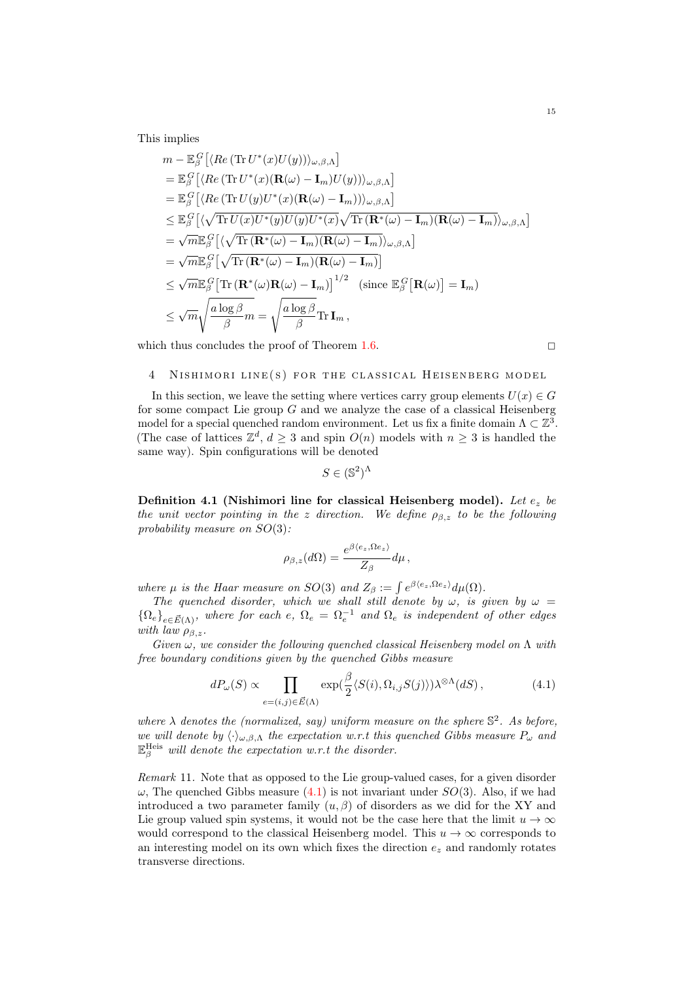This implies

$$
m - \mathbb{E}_{\beta}^{G} [\langle Re (\text{Tr} U^{*}(x)U(y))\rangle_{\omega,\beta,\Lambda}]
$$
  
\n
$$
= \mathbb{E}_{\beta}^{G} [\langle Re (\text{Tr} U^{*}(x) (\mathbf{R}(\omega) - \mathbf{I}_{m}) U(y))\rangle_{\omega,\beta,\Lambda}]
$$
  
\n
$$
= \mathbb{E}_{\beta}^{G} [\langle Re (\text{Tr} U(y)U^{*}(x) (\mathbf{R}(\omega) - \mathbf{I}_{m}))\rangle_{\omega,\beta,\Lambda}]
$$
  
\n
$$
\leq \mathbb{E}_{\beta}^{G} [\langle \sqrt{\text{Tr} U(x)U^{*}(y)U(y)U^{*}(x)} \sqrt{\text{Tr} (\mathbf{R}^{*}(\omega) - \mathbf{I}_{m})} (\mathbf{R}(\omega) - \mathbf{I}_{m})}\rangle_{\omega,\beta,\Lambda}]
$$
  
\n
$$
= \sqrt{m} \mathbb{E}_{\beta}^{G} [\langle \sqrt{\text{Tr} (\mathbf{R}^{*}(\omega) - \mathbf{I}_{m})} (\mathbf{R}(\omega) - \mathbf{I}_{m})}\rangle_{\omega,\beta,\Lambda}]
$$
  
\n
$$
= \sqrt{m} \mathbb{E}_{\beta}^{G} [\sqrt{\text{Tr} (\mathbf{R}^{*}(\omega) - \mathbf{I}_{m})} (\mathbf{R}(\omega) - \mathbf{I}_{m})]
$$
  
\n
$$
\leq \sqrt{m} \mathbb{E}_{\beta}^{G} [\text{Tr} (\mathbf{R}^{*}(\omega) \mathbf{R}(\omega) - \mathbf{I}_{m})]^{1/2} \text{ (since } \mathbb{E}_{\beta}^{G} [\mathbf{R}(\omega)] = \mathbf{I}_{m})
$$
  
\n
$$
\leq \sqrt{m} \sqrt{\frac{a \log \beta}{\beta} m} = \sqrt{\frac{a \log \beta}{\beta}} \text{Tr} \mathbf{I}_{m},
$$

which thus concludes the proof of Theorem [1.6.](#page-5-0)  $\Box$ 

## <span id="page-14-0"></span>4 NISHIMORI LINE(S) FOR THE CLASSICAL HEISENBERG MODEL

In this section, we leave the setting where vertices carry group elements  $U(x) \in G$ for some compact Lie group  $G$  and we analyze the case of a classical Heisenberg model for a special quenched random environment. Let us fix a finite domain  $\Lambda \subset \mathbb{Z}^3$ . (The case of lattices  $\mathbb{Z}^d$ ,  $d \geq 3$  and spin  $O(n)$  models with  $n \geq 3$  is handled the same way). Spin configurations will be denoted

$$
S \in (\mathbb{S}^2)^{\Lambda}
$$

<span id="page-14-2"></span>Definition 4.1 (Nishimori line for classical Heisenberg model). Let  $e_z$  be the unit vector pointing in the z direction. We define  $\rho_{\beta,z}$  to be the following probability measure on SO(3):

<span id="page-14-1"></span>
$$
\rho_{\beta,z}(d\Omega) = \frac{e^{\beta \langle e_z, \Omega e_z \rangle}}{Z_{\beta}} d\mu,
$$

where  $\mu$  is the Haar measure on SO(3) and  $Z_{\beta} := \int e^{\beta \langle e_z, \Omega e_z \rangle} d\mu(\Omega)$ .

The quenched disorder, which we shall still denote by  $\omega$ , is given by  $\omega =$  ${\Omega_e}_{e\in \vec{E}(\Lambda)}$ , where for each e,  $\Omega_e = \Omega_e^{-1}$  and  $\Omega_e$  is independent of other edges with law  $\rho_{\beta,z}$ .

Given  $\omega$ , we consider the following quenched classical Heisenberg model on  $\Lambda$  with free boundary conditions given by the quenched Gibbs measure

$$
dP_{\omega}(S) \propto \prod_{e=(i,j)\in \vec{E}(\Lambda)} \exp(\frac{\beta}{2} \langle S(i), \Omega_{i,j} S(j) \rangle) \lambda^{\otimes \Lambda}(dS), \tag{4.1}
$$

where  $\lambda$  denotes the (normalized, say) uniform measure on the sphere  $\mathbb{S}^2$ . As before, we will denote by  $\langle \cdot \rangle_{\omega,\beta,\Lambda}$  the expectation w.r.t this quenched Gibbs measure  $P_{\omega}$  and  $\mathbb{E}_{\beta}^{\text{Heis}}$  will denote the expectation w.r.t the disorder.

<span id="page-14-3"></span>Remark 11. Note that as opposed to the Lie group-valued cases, for a given disorder  $\omega$ , The quenched Gibbs measure [\(4.1\)](#page-14-1) is not invariant under  $SO(3)$ . Also, if we had introduced a two parameter family  $(u, \beta)$  of disorders as we did for the XY and Lie group valued spin systems, it would not be the case here that the limit  $u \to \infty$ would correspond to the classical Heisenberg model. This  $u \to \infty$  corresponds to an interesting model on its own which fixes the direction  $e_z$  and randomly rotates transverse directions.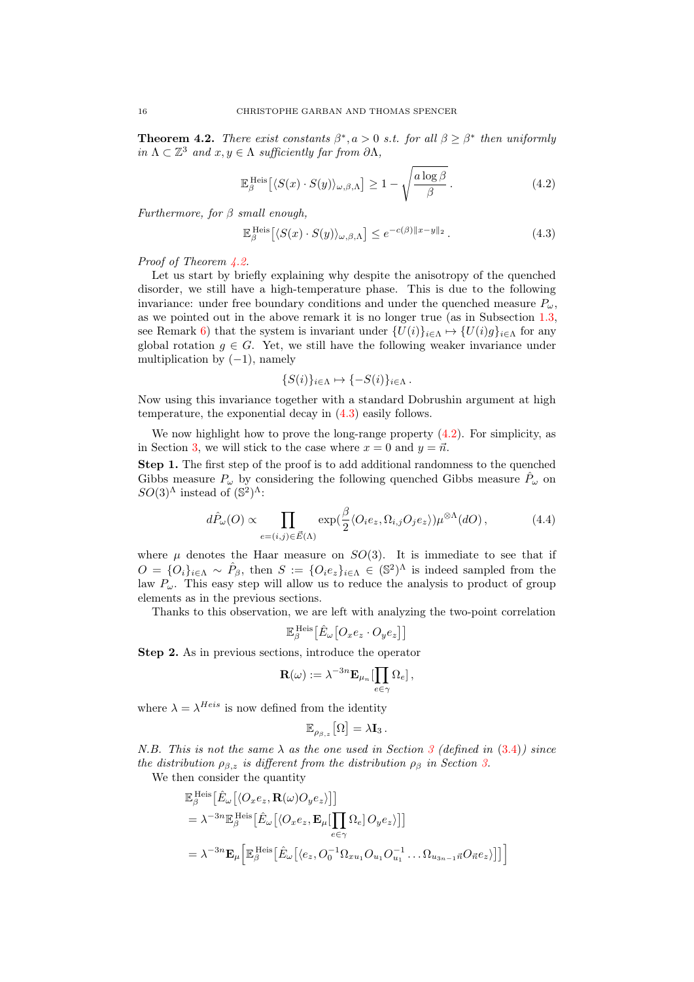<span id="page-15-0"></span>**Theorem 4.2.** There exist constants  $\beta^*, a > 0$  s.t. for all  $\beta \geq \beta^*$  then uniformly in  $\Lambda \subset \mathbb{Z}^3$  and  $x, y \in \Lambda$  sufficiently far from  $\partial \Lambda$ ,

<span id="page-15-2"></span>
$$
\mathbb{E}_{\beta}^{\text{Heis}}\left[\langle S(x) \cdot S(y) \rangle_{\omega,\beta,\Lambda}\right] \ge 1 - \sqrt{\frac{a \log \beta}{\beta}}.
$$
\n(4.2)

Furthermore, for  $\beta$  small enough,

<span id="page-15-1"></span>
$$
\mathbb{E}_{\beta}^{\text{Heis}} \left[ \langle S(x) \cdot S(y) \rangle_{\omega,\beta,\Lambda} \right] \le e^{-c(\beta) \|x - y\|_2} \,. \tag{4.3}
$$

Proof of Theorem [4.2.](#page-15-0)

Let us start by briefly explaining why despite the anisotropy of the quenched disorder, we still have a high-temperature phase. This is due to the following invariance: under free boundary conditions and under the quenched measure  $P_{\omega}$ , as we pointed out in the above remark it is no longer true (as in Subsection [1.3,](#page-4-3) see Remark [6\)](#page-5-1) that the system is invariant under  ${U(i)}_{i \in \Lambda} \mapsto {U(i)g}_{i \in \Lambda}$  for any global rotation  $g \in G$ . Yet, we still have the following weaker invariance under multiplication by  $(-1)$ , namely

$$
\{S(i)\}_{i\in\Lambda}\mapsto\{-S(i)\}_{i\in\Lambda}.
$$

Now using this invariance together with a standard Dobrushin argument at high temperature, the exponential decay in [\(4.3\)](#page-15-1) easily follows.

We now highlight how to prove the long-range property  $(4.2)$ . For simplicity, as in Section [3,](#page-11-0) we will stick to the case where  $x = 0$  and  $y = \vec{n}$ .

Step 1. The first step of the proof is to add additional randomness to the quenched Gibbs measure  $P_{\omega}$  by considering the following quenched Gibbs measure  $\hat{P}_{\omega}$  on  $SO(3)^\Lambda$  instead of  $(\mathbb{S}^2)^\Lambda$ :

$$
d\hat{P}_{\omega}(O) \propto \prod_{e=(i,j)\in\vec{E}(\Lambda)} \exp(\frac{\beta}{2} \langle O_i e_z, \Omega_{i,j} O_j e_z \rangle) \mu^{\otimes \Lambda}(dO), \tag{4.4}
$$

where  $\mu$  denotes the Haar measure on  $SO(3)$ . It is immediate to see that if  $O = \{O_i\}_{i \in \Lambda} \sim \hat{P}_{\beta}$ , then  $S := \{O_i e_z\}_{i \in \Lambda} \in (\mathbb{S}^2)^{\Lambda}$  is indeed sampled from the law  $P_{\omega}$ . This easy step will allow us to reduce the analysis to product of group elements as in the previous sections.

Thanks to this observation, we are left with analyzing the two-point correlation

$$
\mathbb{E}_{\beta}^{\text{Heis}}\big[\hat{E}_{\omega}\big[O_xe_z\cdot O_ye_z\big]\big]
$$

Step 2. As in previous sections, introduce the operator

$$
\mathbf{R}(\omega) := \lambda^{-3n} \mathbf{E}_{\mu_n}[\prod_{e \in \gamma} \Omega_e],
$$

where  $\lambda = \lambda^{Heis}$  is now defined from the identity

$$
\mathbb{E}_{\rho_{\beta,z}}\big[\Omega\big]=\lambda\mathbf{I}_3.
$$

N.B. This is not the same  $\lambda$  as the one used in Section [3](#page-11-0) (defined in [\(3.4\)](#page-13-1)) since the distribution  $\rho_{\beta,z}$  is different from the distribution  $\rho_{\beta}$  in Section [3.](#page-11-0) We then consider the quantity

$$
\mathbb{E}_{\beta}^{\text{Heis}} \left[ \hat{E}_{\omega} \left[ \langle O_x e_z, \mathbf{R}(\omega) O_y e_z \rangle \right] \right] \n= \lambda^{-3n} \mathbb{E}_{\beta}^{\text{Heis}} \left[ \hat{E}_{\omega} \left[ \langle O_x e_z, \mathbf{E}_{\mu} \left[ \prod_{e \in \gamma} \Omega_e \right] O_y e_z \rangle \right] \right] \n= \lambda^{-3n} \mathbf{E}_{\mu} \left[ \mathbb{E}_{\beta}^{\text{Heis}} \left[ \hat{E}_{\omega} \left[ \langle e_z, O_0^{-1} \Omega_{x u_1} O_{u_1} O_{u_1}^{-1} \dots \Omega_{u_{3n-1} \vec{n}} O_{\vec{n}} e_z \rangle \right] \right] \right]
$$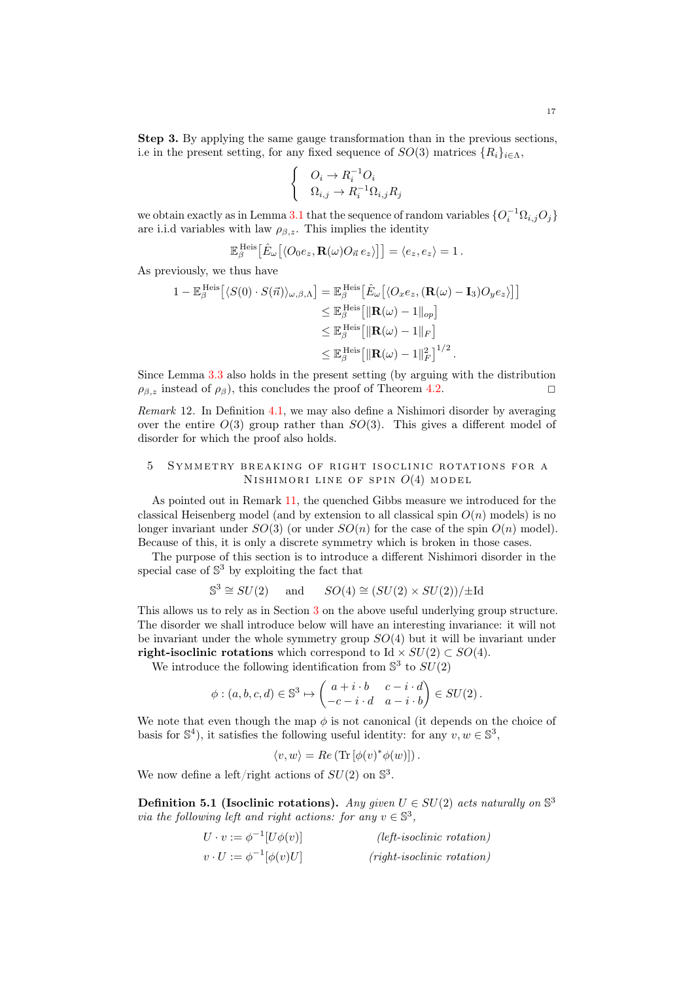Step 3. By applying the same gauge transformation than in the previous sections, i.e in the present setting, for any fixed sequence of  $SO(3)$  matrices  ${R_i}_{i \in \Lambda}$ ,

$$
\begin{cases} O_i \to R_i^{-1}O_i \\ \Omega_{i,j} \to R_i^{-1}\Omega_{i,j}R_j \end{cases}
$$

we obtain exactly as in Lemma [3.1](#page-12-0) that the sequence of random variables  $\{O_i^{-1}\Omega_{i,j}O_j\}$ are i.i.d variables with law  $\rho_{\beta,z}$ . This implies the identity

$$
\mathbb{E}_{\beta}^{\mathrm{Heis}}\big[\hat{E}_{\omega}\big[\langle O_0e_z, \mathbf{R}(\omega)O_{\vec{n}}e_z\rangle\big]\big] = \langle e_z, e_z\rangle = 1.
$$

As previously, we thus have

$$
1 - \mathbb{E}_{\beta}^{\text{Heis}} \left[ \langle S(0) \cdot S(\vec{n}) \rangle_{\omega,\beta,\Lambda} \right] = \mathbb{E}_{\beta}^{\text{Heis}} \left[ \hat{E}_{\omega} \left[ \langle O_x e_z, (\mathbf{R}(\omega) - \mathbf{I}_3) O_y e_z \rangle \right] \right] \n\leq \mathbb{E}_{\beta}^{\text{Heis}} \left[ \|\mathbf{R}(\omega) - 1\|_{op} \right] \n\leq \mathbb{E}_{\beta}^{\text{Heis}} \left[ \|\mathbf{R}(\omega) - 1\|_{F} \right] \n\leq \mathbb{E}_{\beta}^{\text{Heis}} \left[ \|\mathbf{R}(\omega) - 1\|_{F}^{2} \right]^{1/2}.
$$

Since Lemma [3.3](#page-13-3) also holds in the present setting (by arguing with the distribution  $\rho_{\beta,z}$  instead of  $\rho_{\beta}$ ), this concludes the proof of Theorem [4.2.](#page-15-0)

Remark 12. In Definition [4.1,](#page-14-2) we may also define a Nishimori disorder by averaging over the entire  $O(3)$  group rather than  $SO(3)$ . This gives a different model of disorder for which the proof also holds.

## <span id="page-16-0"></span>5 SYMMETRY BREAKING OF RIGHT ISOCLINIC ROTATIONS FOR A NISHIMORI LINE OF SPIN  $O(4)$  MODEL

As pointed out in Remark [11,](#page-14-3) the quenched Gibbs measure we introduced for the classical Heisenberg model (and by extension to all classical spin  $O(n)$  models) is no longer invariant under  $SO(3)$  (or under  $SO(n)$  for the case of the spin  $O(n)$  model). Because of this, it is only a discrete symmetry which is broken in those cases.

The purpose of this section is to introduce a different Nishimori disorder in the special case of  $\mathbb{S}^3$  by exploiting the fact that

$$
\mathbb{S}^3 \cong SU(2) \quad \text{and} \quad SO(4) \cong (SU(2) \times SU(2)) / \pm \text{Id}
$$

This allows us to rely as in Section [3](#page-11-0) on the above useful underlying group structure. The disorder we shall introduce below will have an interesting invariance: it will not be invariant under the whole symmetry group  $SO(4)$  but it will be invariant under right-isoclinic rotations which correspond to Id  $\times SU(2) \subset SO(4)$ .

We introduce the following identification from  $\mathbb{S}^3$  to  $SU(2)$ 

$$
\phi: (a, b, c, d) \in \mathbb{S}^3 \mapsto \begin{pmatrix} a+i \cdot b & c-i \cdot d \\ -c-i \cdot d & a-i \cdot b \end{pmatrix} \in SU(2).
$$

We note that even though the map  $\phi$  is not canonical (it depends on the choice of basis for  $\mathbb{S}^4$ ), it satisfies the following useful identity: for any  $v, w \in \mathbb{S}^3$ ,

$$
\langle v, w \rangle = Re \left( \text{Tr} \left[ \phi(v)^* \phi(w) \right] \right).
$$

We now define a left/right actions of  $SU(2)$  on  $\mathbb{S}^3$ .

Definition 5.1 (Isoclinic rotations). Any given  $U \in SU(2)$  acts naturally on  $\mathbb{S}^3$ via the following left and right actions: for any  $v \in \mathbb{S}^3$ ,

| $U \cdot v := \phi^{-1}[U\phi(v)]$ | $(left\text{-}isoclinic rotation)$ |
|------------------------------------|------------------------------------|
| $v\cdot U := \phi^{-1}[\phi(v)U]$  | $(right-isoclinic rotation)$       |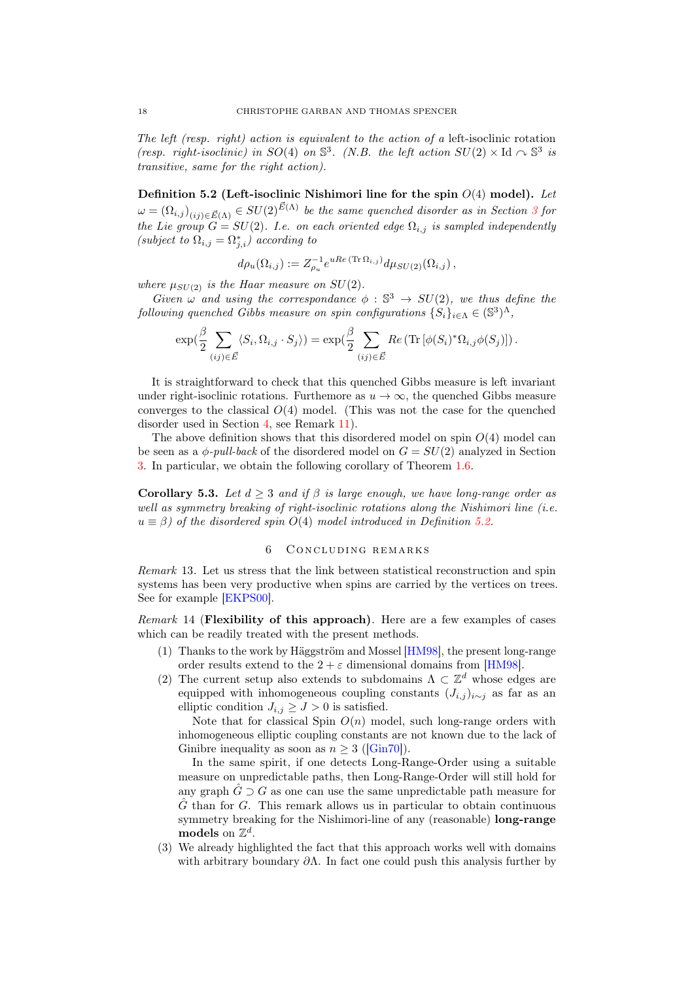The left (resp. right) action is equivalent to the action of a left-isoclinic rotation (resp. right-isoclinic) in SO(4) on  $\mathbb{S}^3$ . (N.B. the left action  $SU(2) \times \mathrm{Id} \cap \mathbb{S}^3$  is transitive, same for the right action).

<span id="page-17-1"></span>Definition 5.2 (Left-isoclinic Nishimori line for the spin  $O(4)$  model). Let  $\omega = (\Omega_{i,j})_{(ij)\in \vec{E}(\Lambda)} \in SU(2)^{\vec{E}(\Lambda)}$  be the same quenched disorder as in Section [3](#page-11-0) for the Lie group  $G = SU(2)$ . I.e. on each oriented edge  $\Omega_{i,j}$  is sampled independently (subject to  $\Omega_{i,j} = \Omega_{j,i}^*$ ) according to

$$
d\rho_u(\Omega_{i,j}) := Z_{\rho_u}^{-1} e^{uRe(\text{Tr}\,\Omega_{i,j})} d\mu_{SU(2)}(\Omega_{i,j}),
$$

where  $\mu_{SU(2)}$  is the Haar measure on  $SU(2)$ .

Given  $\omega$  and using the correspondance  $\phi : \mathbb{S}^3 \to SU(2)$ , we thus define the following quenched Gibbs measure on spin configurations  $\{S_i\}_{i\in\Lambda} \in (\mathbb{S}^3)^{\Lambda}$ ,

$$
\exp(\frac{\beta}{2} \sum_{(ij)\in \vec{E}} \langle S_i, \Omega_{i,j} \cdot S_j \rangle) = \exp(\frac{\beta}{2} \sum_{(ij)\in \vec{E}} Re \left( \text{Tr} \left[ \phi(S_i)^* \Omega_{i,j} \phi(S_j) \right] \right).
$$

It is straightforward to check that this quenched Gibbs measure is left invariant under right-isoclinic rotations. Furthemore as  $u \to \infty$ , the quenched Gibbs measure converges to the classical  $O(4)$  model. (This was not the case for the quenched disorder used in Section [4,](#page-14-0) see Remark [11\)](#page-14-3).

The above definition shows that this disordered model on spin  $O(4)$  model can be seen as a  $\phi$ -*pull-back* of the disordered model on  $G = SU(2)$  analyzed in Section [3.](#page-11-0) In particular, we obtain the following corollary of Theorem [1.6.](#page-5-0)

Corollary 5.3. Let  $d > 3$  and if  $\beta$  is large enough, we have long-range order as well as symmetry breaking of right-isoclinic rotations along the Nishimori line (i.e.  $u \equiv \beta$ ) of the disordered spin O(4) model introduced in Definition [5.2.](#page-17-1)

## 6 CONCLUDING REMARKS

<span id="page-17-0"></span>Remark 13. Let us stress that the link between statistical reconstruction and spin systems has been very productive when spins are carried by the vertices on trees. See for example [\[EKPS00\]](#page-19-16).

Remark 14 (Flexibility of this approach). Here are a few examples of cases which can be readily treated with the present methods.

- (1) Thanks to the work by Häggström and Mossel [\[HM98\]](#page-19-14), the present long-range order results extend to the  $2 + \varepsilon$  dimensional domains from [\[HM98\]](#page-19-14).
- (2) The current setup also extends to subdomains  $\Lambda \subset \mathbb{Z}^d$  whose edges are equipped with inhomogeneous coupling constants  $(J_{i,j})_{i\sim j}$  as far as an elliptic condition  $J_{i,j} \geq J > 0$  is satisfied.

Note that for classical Spin  $O(n)$  model, such long-range orders with inhomogeneous elliptic coupling constants are not known due to the lack of Ginibre inequality as soon as  $n > 3$  ([\[Gin70\]](#page-19-13)).

In the same spirit, if one detects Long-Range-Order using a suitable measure on unpredictable paths, then Long-Range-Order will still hold for any graph  $G \supset G$  as one can use the same unpredictable path measure for  $\hat{G}$  than for G. This remark allows us in particular to obtain continuous symmetry breaking for the Nishimori-line of any (reasonable) **long-range** models on  $\mathbb{Z}^d$ .

(3) We already highlighted the fact that this approach works well with domains with arbitrary boundary  $\partial \Lambda$ . In fact one could push this analysis further by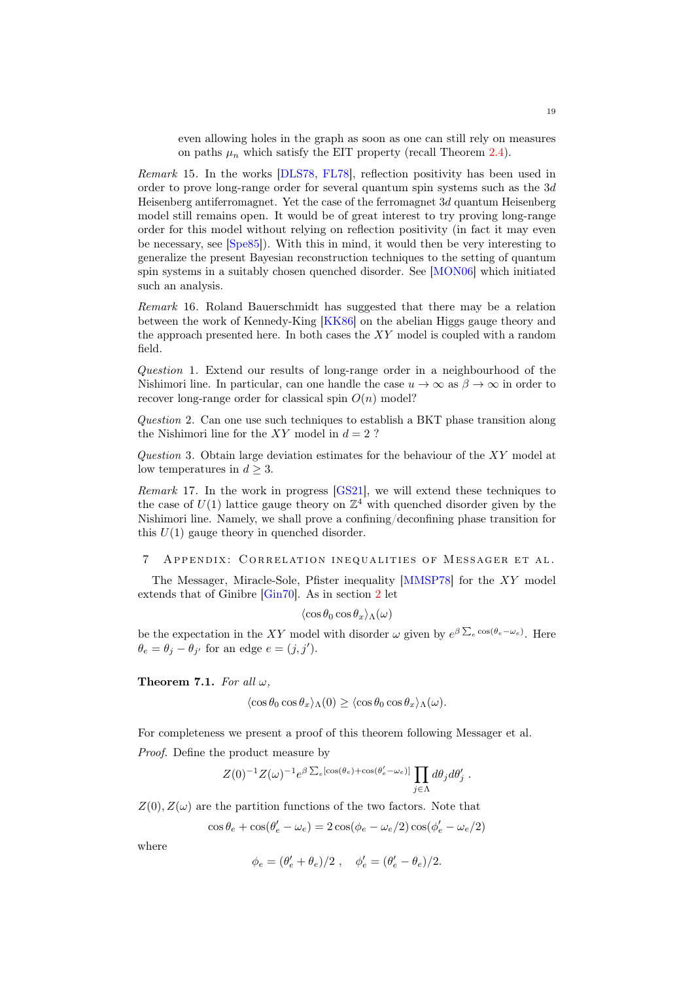even allowing holes in the graph as soon as one can still rely on measures on paths  $\mu_n$  which satisfy the EIT property (recall Theorem [2.4\)](#page-9-0).

Remark 15. In the works [\[DLS78,](#page-19-17) [FL78\]](#page-19-18), reflection positivity has been used in order to prove long-range order for several quantum spin systems such as the 3d Heisenberg antiferromagnet. Yet the case of the ferromagnet 3d quantum Heisenberg model still remains open. It would be of great interest to try proving long-range order for this model without relying on reflection positivity (in fact it may even be necessary, see [\[Spe85\]](#page-20-12)). With this in mind, it would then be very interesting to generalize the present Bayesian reconstruction techniques to the setting of quantum spin systems in a suitably chosen quenched disorder. See [\[MON06\]](#page-20-13) which initiated such an analysis.

Remark 16. Roland Bauerschmidt has suggested that there may be a relation between the work of Kennedy-King [\[KK86\]](#page-20-8) on the abelian Higgs gauge theory and the approach presented here. In both cases the XY model is coupled with a random field.

Question 1. Extend our results of long-range order in a neighbourhood of the Nishimori line. In particular, can one handle the case  $u \to \infty$  as  $\beta \to \infty$  in order to recover long-range order for classical spin  $O(n)$  model?

Question 2. Can one use such techniques to establish a BKT phase transition along the Nishimori line for the  $XY$  model in  $d = 2$ ?

Question 3. Obtain large deviation estimates for the behaviour of the  $XY$  model at low temperatures in  $d \geq 3$ .

Remark 17. In the work in progress [\[GS21\]](#page-19-19), we will extend these techniques to the case of  $U(1)$  lattice gauge theory on  $\mathbb{Z}^{4}$  with quenched disorder given by the Nishimori line. Namely, we shall prove a confining/deconfining phase transition for this  $U(1)$  gauge theory in quenched disorder.

### 7 APPENDIX: CORRELATION INEQUALITIES OF MESSAGER ET AL.

The Messager, Miracle-Sole, Pfister inequality [\[MMSP78\]](#page-20-2) for the XY model extends that of Ginibre [\[Gin70\]](#page-19-13). As in section [2](#page-6-0) let

$$
\langle\cos\theta_0\cos\theta_x\rangle_{\Lambda}(\omega)
$$

be the expectation in the XY model with disorder  $\omega$  given by  $e^{\beta \sum_{e} \cos(\theta_e - \omega_e)}$ . Here  $\theta_e = \theta_j - \theta_{j'}$  for an edge  $e = (j, j').$ 

Theorem 7.1. For all  $\omega$ ,

$$
\langle \cos \theta_0 \cos \theta_x \rangle_{\Lambda}(0) \ge \langle \cos \theta_0 \cos \theta_x \rangle_{\Lambda}(\omega).
$$

For completeness we present a proof of this theorem following Messager et al. Proof. Define the product measure by

$$
Z(0)^{-1}Z(\omega)^{-1}e^{\beta\sum_e[\cos(\theta_e)+\cos(\theta'_e-\omega_e)]}\prod_{j\in\Lambda}d\theta_jd\theta'_j.
$$

 $Z(0), Z(\omega)$  are the partition functions of the two factors. Note that

$$
\cos\theta_e + \cos(\theta'_e - \omega_e) = 2\cos(\phi_e - \omega_e/2)\cos(\phi'_e - \omega_e/2)
$$

where

$$
\phi_e=(\theta_e'+\theta_e)/2\ ,\quad \phi_e'=(\theta_e'-\theta_e)/2.
$$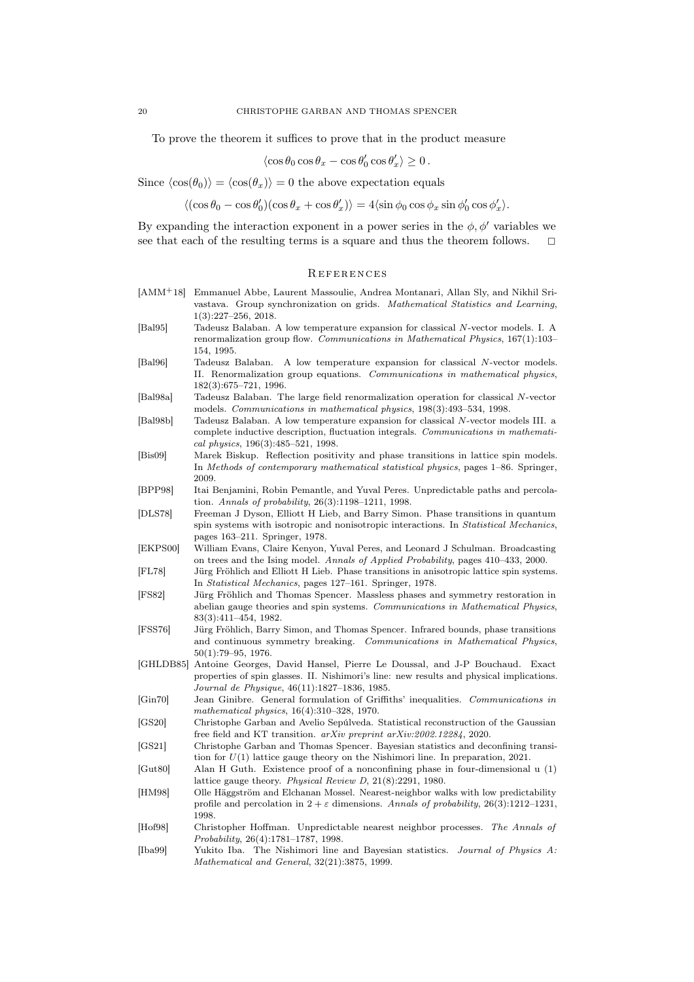To prove the theorem it suffices to prove that in the product measure

$$
\langle\cos\theta_0\cos\theta_x-\cos\theta'_0\cos\theta'_x\rangle\geq 0\,.
$$

Since  $\langle \cos(\theta_0)\rangle = \langle \cos(\theta_x)\rangle = 0$  the above expectation equals

 $\langle (\cos \theta_0 - \cos \theta'_0)(\cos \theta_x + \cos \theta'_x) \rangle = 4 \langle \sin \phi_0 \cos \phi_x \sin \phi'_0 \cos \phi'_x \rangle.$ 

By expanding the interaction exponent in a power series in the  $\phi$ ,  $\phi'$  variables we see that each of the resulting terms is a square and thus the theorem follows.  $\Box$ 

#### **REFERENCES**

<span id="page-19-19"></span><span id="page-19-18"></span><span id="page-19-17"></span><span id="page-19-16"></span><span id="page-19-15"></span><span id="page-19-14"></span><span id="page-19-13"></span><span id="page-19-12"></span><span id="page-19-11"></span><span id="page-19-10"></span><span id="page-19-9"></span><span id="page-19-8"></span><span id="page-19-7"></span><span id="page-19-6"></span><span id="page-19-5"></span><span id="page-19-4"></span><span id="page-19-3"></span><span id="page-19-2"></span><span id="page-19-1"></span><span id="page-19-0"></span>[AMM+18] Emmanuel Abbe, Laurent Massoulie, Andrea Montanari, Allan Sly, and Nikhil Srivastava. Group synchronization on grids. Mathematical Statistics and Learning, 1(3):227–256, 2018. [Bal95] Tadeusz Balaban. A low temperature expansion for classical N-vector models. I. A renormalization group flow. Communications in Mathematical Physics, 167(1):103– 154, 1995. [Bal96] Tadeusz Balaban. A low temperature expansion for classical N-vector models. II. Renormalization group equations. Communications in mathematical physics, 182(3):675–721, 1996. [Bal98a] Tadeusz Balaban. The large field renormalization operation for classical N-vector models. Communications in mathematical physics, 198(3):493–534, 1998. [Bal98b] Tadeusz Balaban. A low temperature expansion for classical N-vector models III. a complete inductive description, fluctuation integrals. Communications in mathematical physics, 196(3):485–521, 1998. [Bis09] Marek Biskup. Reflection positivity and phase transitions in lattice spin models. In Methods of contemporary mathematical statistical physics, pages 1–86. Springer, 2009. [BPP98] Itai Benjamini, Robin Pemantle, and Yuval Peres. Unpredictable paths and percolation. Annals of probability, 26(3):1198–1211, 1998. [DLS78] Freeman J Dyson, Elliott H Lieb, and Barry Simon. Phase transitions in quantum spin systems with isotropic and nonisotropic interactions. In Statistical Mechanics, pages 163–211. Springer, 1978. [EKPS00] William Evans, Claire Kenyon, Yuval Peres, and Leonard J Schulman. Broadcasting on trees and the Ising model. Annals of Applied Probability, pages 410–433, 2000. [FL78] Jürg Fröhlich and Elliott H Lieb. Phase transitions in anisotropic lattice spin systems. In Statistical Mechanics, pages 127–161. Springer, 1978. [FS82] Jürg Fröhlich and Thomas Spencer. Massless phases and symmetry restoration in abelian gauge theories and spin systems. Communications in Mathematical Physics, 83(3):411–454, 1982. [FSS76] Jürg Fröhlich, Barry Simon, and Thomas Spencer. Infrared bounds, phase transitions and continuous symmetry breaking. Communications in Mathematical Physics, 50(1):79–95, 1976. [GHLDB85] Antoine Georges, David Hansel, Pierre Le Doussal, and J-P Bouchaud. Exact properties of spin glasses. II. Nishimori's line: new results and physical implications. Journal de Physique, 46(11):1827–1836, 1985. [Gin70] Jean Ginibre. General formulation of Griffiths' inequalities. Communications in mathematical physics, 16(4):310–328, 1970. [GS20] Christophe Garban and Avelio Sepúlveda. Statistical reconstruction of the Gaussian free field and KT transition. arXiv preprint arXiv:2002.12284, 2020. [GS21] Christophe Garban and Thomas Spencer. Bayesian statistics and deconfining transition for  $U(1)$  lattice gauge theory on the Nishimori line. In preparation, 2021. [Gut80] Alan H Guth. Existence proof of a nonconfining phase in four-dimensional u (1) lattice gauge theory. Physical Review D, 21(8):2291, 1980. [HM98] Olle Häggström and Elchanan Mossel. Nearest-neighbor walks with low predictability profile and percolation in  $2 + \varepsilon$  dimensions. Annals of probability, 26(3):1212-1231, 1998. [Hof98] Christopher Hoffman. Unpredictable nearest neighbor processes. The Annals of Probability, 26(4):1781–1787, 1998. [Iba99] Yukito Iba. The Nishimori line and Bayesian statistics. Journal of Physics A: Mathematical and General, 32(21):3875, 1999.